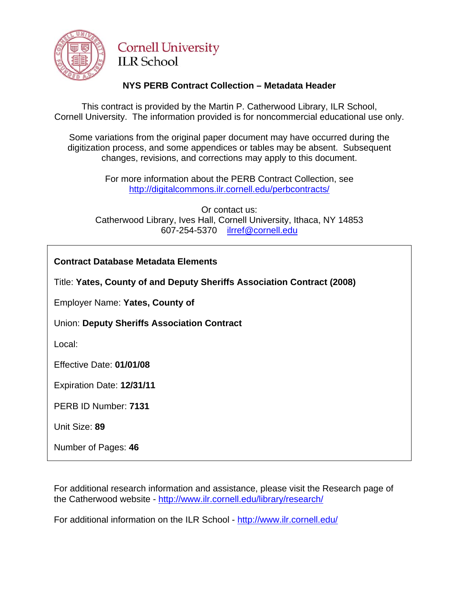

## **Cornell University ILR** School

#### **NYS PERB Contract Collection – Metadata Header**

This contract is provided by the Martin P. Catherwood Library, ILR School, Cornell University. The information provided is for noncommercial educational use only.

Some variations from the original paper document may have occurred during the digitization process, and some appendices or tables may be absent. Subsequent changes, revisions, and corrections may apply to this document.

> For more information about the PERB Contract Collection, see http://digitalcommons.ilr.cornell.edu/perbcontracts/

Or contact us: Catherwood Library, Ives Hall, Cornell University, Ithaca, NY 14853 607-254-5370 [ilrref@cornell.edu](mailto:ilrref@cornell.edu)

#### **Contract Database Metadata Elements**

Title: **Yates, County of and Deputy Sheriffs Association Contract (2008)**

Employer Name: **Yates, County of**

Union: **Deputy Sheriffs Association Contract**

Local:

Effective Date: **01/01/08**

Expiration Date: **12/31/11**

PERB ID Number: **7131**

Unit Size: **89** 

Number of Pages: **46** 

For additional research information and assistance, please visit the Research page of the Catherwood website -<http://www.ilr.cornell.edu/library/research/>

For additional information on the ILR School - <http://www.ilr.cornell.edu/>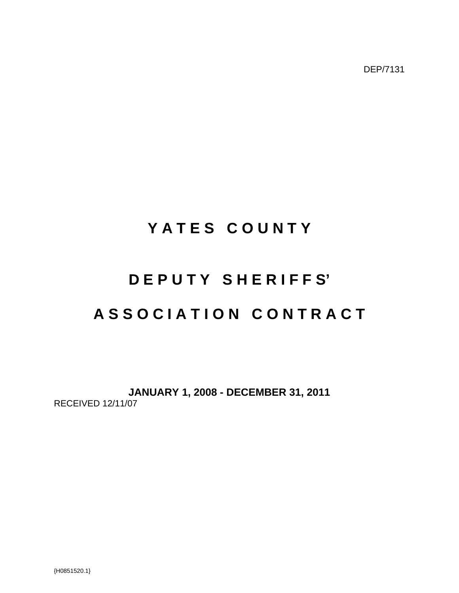DEP/7131

## **Y A T E S C O U N T Y**

# **D E P U T Y S H E R I F F S' A S S O C I A T I O N C O N T R A C T**

**JANUARY 1, 2008 - DECEMBER 31, 2011** RECEIVED 12/11/07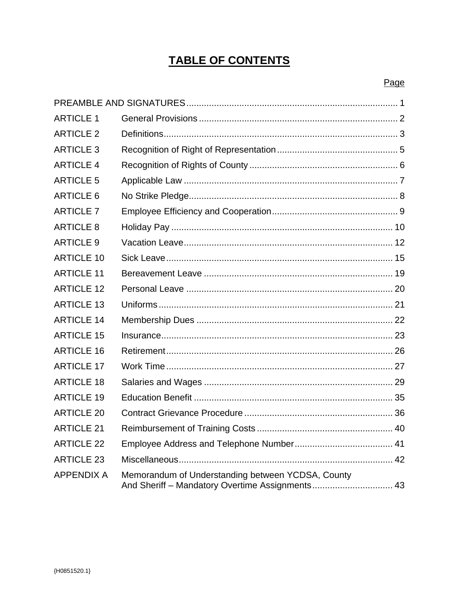## **TABLE OF CONTENTS**

| <b>ARTICLE 1</b>  |                                                                                                      |  |
|-------------------|------------------------------------------------------------------------------------------------------|--|
| <b>ARTICLE 2</b>  |                                                                                                      |  |
| <b>ARTICLE 3</b>  |                                                                                                      |  |
| <b>ARTICLE 4</b>  |                                                                                                      |  |
| <b>ARTICLE 5</b>  |                                                                                                      |  |
| <b>ARTICLE 6</b>  |                                                                                                      |  |
| <b>ARTICLE 7</b>  |                                                                                                      |  |
| <b>ARTICLE 8</b>  |                                                                                                      |  |
| <b>ARTICLE 9</b>  |                                                                                                      |  |
| <b>ARTICLE 10</b> |                                                                                                      |  |
| <b>ARTICLE 11</b> |                                                                                                      |  |
| <b>ARTICLE 12</b> |                                                                                                      |  |
| <b>ARTICLE 13</b> |                                                                                                      |  |
| <b>ARTICLE 14</b> |                                                                                                      |  |
| <b>ARTICLE 15</b> |                                                                                                      |  |
| <b>ARTICLE 16</b> |                                                                                                      |  |
| <b>ARTICLE 17</b> |                                                                                                      |  |
| <b>ARTICLE 18</b> |                                                                                                      |  |
| <b>ARTICLE 19</b> |                                                                                                      |  |
| <b>ARTICLE 20</b> |                                                                                                      |  |
| <b>ARTICLE 21</b> |                                                                                                      |  |
| <b>ARTICLE 22</b> |                                                                                                      |  |
| <b>ARTICLE 23</b> |                                                                                                      |  |
| <b>APPENDIX A</b> | Memorandum of Understanding between YCDSA, County<br>And Sheriff - Mandatory Overtime Assignments 43 |  |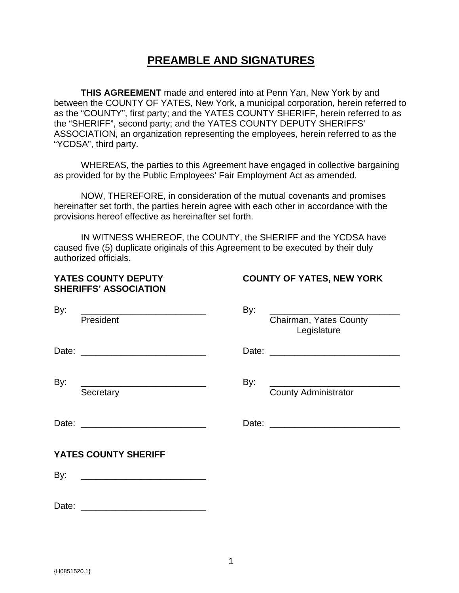#### **PREAMBLE AND SIGNATURES**

**THIS AGREEMENT** made and entered into at Penn Yan, New York by and between the COUNTY OF YATES, New York, a municipal corporation, herein referred to as the "COUNTY", first party; and the YATES COUNTY SHERIFF, herein referred to as the "SHERIFF", second party; and the YATES COUNTY DEPUTY SHERIFFS' ASSOCIATION, an organization representing the employees, herein referred to as the "YCDSA", third party.

WHEREAS, the parties to this Agreement have engaged in collective bargaining as provided for by the Public Employees' Fair Employment Act as amended.

NOW, THEREFORE, in consideration of the mutual covenants and promises hereinafter set forth, the parties herein agree with each other in accordance with the provisions hereof effective as hereinafter set forth.

IN WITNESS WHEREOF, the COUNTY, the SHERIFF and the YCDSA have caused five (5) duplicate originals of this Agreement to be executed by their duly authorized officials.

|       | YATES COUNTY DEPUTY<br><b>SHERIFFS' ASSOCIATION</b> | <b>COUNTY OF YATES, NEW YORK</b> |                                                                                                                                                                                                                                |  |
|-------|-----------------------------------------------------|----------------------------------|--------------------------------------------------------------------------------------------------------------------------------------------------------------------------------------------------------------------------------|--|
| By:   | President                                           | By:                              | Chairman, Yates County<br>Legislature                                                                                                                                                                                          |  |
|       |                                                     |                                  |                                                                                                                                                                                                                                |  |
| By:   | Secretary                                           | By:                              | County Administrator                                                                                                                                                                                                           |  |
|       |                                                     |                                  | Date: the contract of the contract of the contract of the contract of the contract of the contract of the contract of the contract of the contract of the contract of the contract of the contract of the contract of the cont |  |
|       | <b>YATES COUNTY SHERIFF</b>                         |                                  |                                                                                                                                                                                                                                |  |
| By:   |                                                     |                                  |                                                                                                                                                                                                                                |  |
| Date: |                                                     |                                  |                                                                                                                                                                                                                                |  |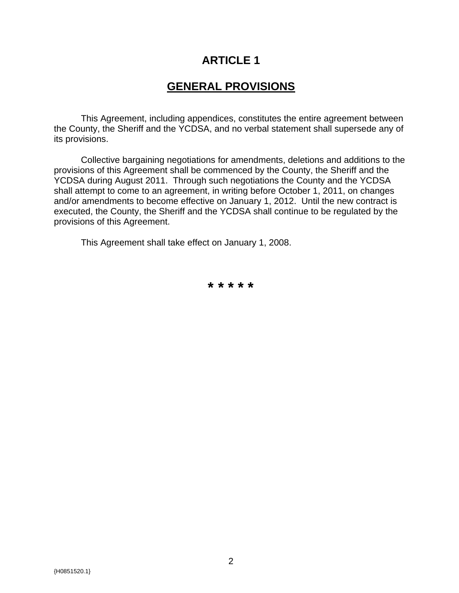#### **GENERAL PROVISIONS**

This Agreement, including appendices, constitutes the entire agreement between the County, the Sheriff and the YCDSA, and no verbal statement shall supersede any of its provisions.

Collective bargaining negotiations for amendments, deletions and additions to the provisions of this Agreement shall be commenced by the County, the Sheriff and the YCDSA during August 2011. Through such negotiations the County and the YCDSA shall attempt to come to an agreement, in writing before October 1, 2011, on changes and/or amendments to become effective on January 1, 2012. Until the new contract is executed, the County, the Sheriff and the YCDSA shall continue to be regulated by the provisions of this Agreement.

This Agreement shall take effect on January 1, 2008.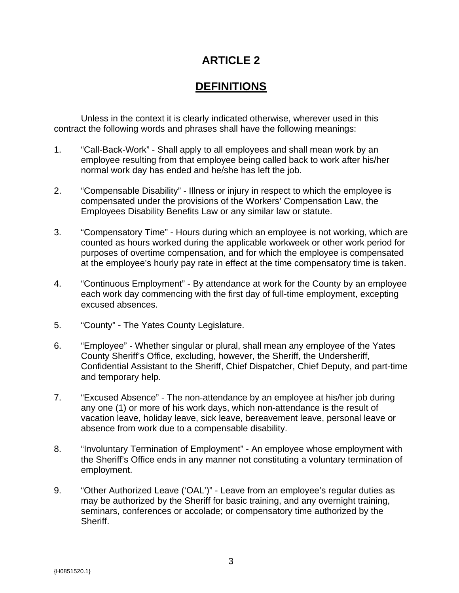#### **DEFINITIONS**

Unless in the context it is clearly indicated otherwise, wherever used in this contract the following words and phrases shall have the following meanings:

- 1. "Call-Back-Work" Shall apply to all employees and shall mean work by an employee resulting from that employee being called back to work after his/her normal work day has ended and he/she has left the job.
- 2. "Compensable Disability" Illness or injury in respect to which the employee is compensated under the provisions of the Workers' Compensation Law, the Employees Disability Benefits Law or any similar law or statute.
- 3. "Compensatory Time" Hours during which an employee is not working, which are counted as hours worked during the applicable workweek or other work period for purposes of overtime compensation, and for which the employee is compensated at the employee's hourly pay rate in effect at the time compensatory time is taken.
- 4. "Continuous Employment" By attendance at work for the County by an employee each work day commencing with the first day of full-time employment, excepting excused absences.
- 5. "County" The Yates County Legislature.
- 6. "Employee" Whether singular or plural, shall mean any employee of the Yates County Sheriff's Office, excluding, however, the Sheriff, the Undersheriff, Confidential Assistant to the Sheriff, Chief Dispatcher, Chief Deputy, and part-time and temporary help.
- 7. "Excused Absence" The non-attendance by an employee at his/her job during any one (1) or more of his work days, which non-attendance is the result of vacation leave, holiday leave, sick leave, bereavement leave, personal leave or absence from work due to a compensable disability.
- 8. "Involuntary Termination of Employment" An employee whose employment with the Sheriff's Office ends in any manner not constituting a voluntary termination of employment.
- 9. "Other Authorized Leave ('OAL')" Leave from an employee's regular duties as may be authorized by the Sheriff for basic training, and any overnight training, seminars, conferences or accolade; or compensatory time authorized by the Sheriff.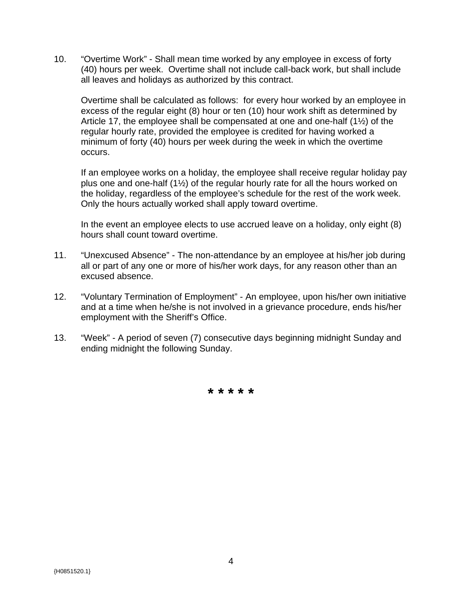10. "Overtime Work" - Shall mean time worked by any employee in excess of forty (40) hours per week. Overtime shall not include call-back work, but shall include all leaves and holidays as authorized by this contract.

Overtime shall be calculated as follows: for every hour worked by an employee in excess of the regular eight (8) hour or ten (10) hour work shift as determined by Article 17, the employee shall be compensated at one and one-half (1½) of the regular hourly rate, provided the employee is credited for having worked a minimum of forty (40) hours per week during the week in which the overtime occurs.

If an employee works on a holiday, the employee shall receive regular holiday pay plus one and one-half (1½) of the regular hourly rate for all the hours worked on the holiday, regardless of the employee's schedule for the rest of the work week. Only the hours actually worked shall apply toward overtime.

In the event an employee elects to use accrued leave on a holiday, only eight (8) hours shall count toward overtime.

- 11. "Unexcused Absence" The non-attendance by an employee at his/her job during all or part of any one or more of his/her work days, for any reason other than an excused absence.
- 12. "Voluntary Termination of Employment" An employee, upon his/her own initiative and at a time when he/she is not involved in a grievance procedure, ends his/her employment with the Sheriff's Office.
- 13. "Week" A period of seven (7) consecutive days beginning midnight Sunday and ending midnight the following Sunday.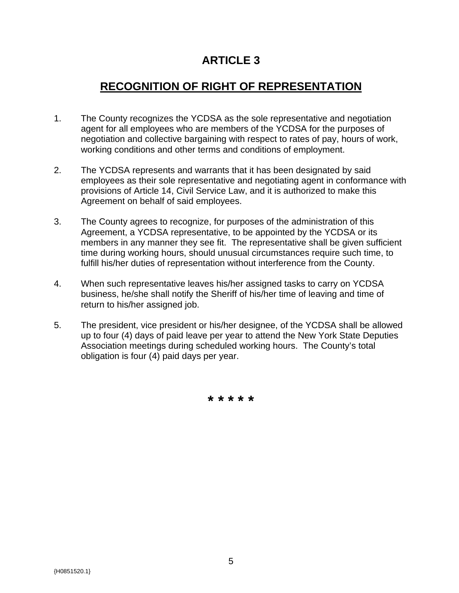#### **RECOGNITION OF RIGHT OF REPRESENTATION**

- 1. The County recognizes the YCDSA as the sole representative and negotiation agent for all employees who are members of the YCDSA for the purposes of negotiation and collective bargaining with respect to rates of pay, hours of work, working conditions and other terms and conditions of employment.
- 2. The YCDSA represents and warrants that it has been designated by said employees as their sole representative and negotiating agent in conformance with provisions of Article 14, Civil Service Law, and it is authorized to make this Agreement on behalf of said employees.
- 3. The County agrees to recognize, for purposes of the administration of this Agreement, a YCDSA representative, to be appointed by the YCDSA or its members in any manner they see fit. The representative shall be given sufficient time during working hours, should unusual circumstances require such time, to fulfill his/her duties of representation without interference from the County.
- 4. When such representative leaves his/her assigned tasks to carry on YCDSA business, he/she shall notify the Sheriff of his/her time of leaving and time of return to his/her assigned job.
- 5. The president, vice president or his/her designee, of the YCDSA shall be allowed up to four (4) days of paid leave per year to attend the New York State Deputies Association meetings during scheduled working hours. The County's total obligation is four (4) paid days per year.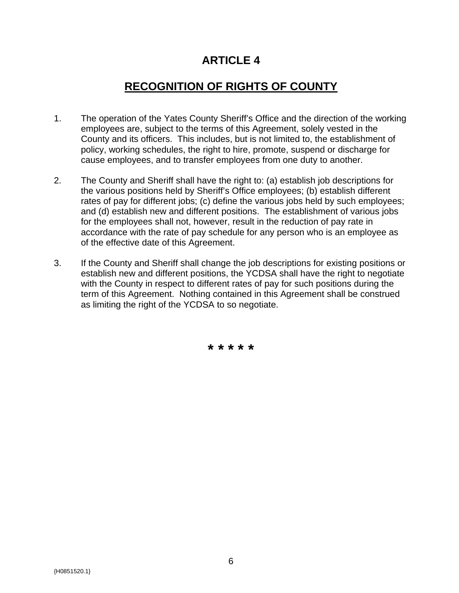#### **RECOGNITION OF RIGHTS OF COUNTY**

- 1. The operation of the Yates County Sheriff's Office and the direction of the working employees are, subject to the terms of this Agreement, solely vested in the County and its officers. This includes, but is not limited to, the establishment of policy, working schedules, the right to hire, promote, suspend or discharge for cause employees, and to transfer employees from one duty to another.
- 2. The County and Sheriff shall have the right to: (a) establish job descriptions for the various positions held by Sheriff's Office employees; (b) establish different rates of pay for different jobs; (c) define the various jobs held by such employees; and (d) establish new and different positions. The establishment of various jobs for the employees shall not, however, result in the reduction of pay rate in accordance with the rate of pay schedule for any person who is an employee as of the effective date of this Agreement.
- 3. If the County and Sheriff shall change the job descriptions for existing positions or establish new and different positions, the YCDSA shall have the right to negotiate with the County in respect to different rates of pay for such positions during the term of this Agreement. Nothing contained in this Agreement shall be construed as limiting the right of the YCDSA to so negotiate.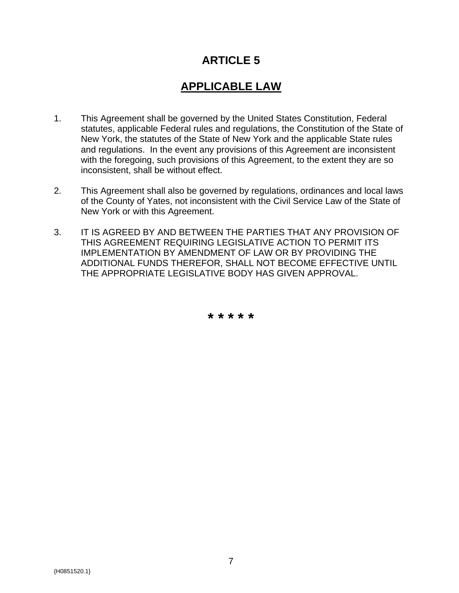#### **APPLICABLE LAW**

- 1. This Agreement shall be governed by the United States Constitution, Federal statutes, applicable Federal rules and regulations, the Constitution of the State of New York, the statutes of the State of New York and the applicable State rules and regulations. In the event any provisions of this Agreement are inconsistent with the foregoing, such provisions of this Agreement, to the extent they are so inconsistent, shall be without effect.
- 2. This Agreement shall also be governed by regulations, ordinances and local laws of the County of Yates, not inconsistent with the Civil Service Law of the State of New York or with this Agreement.
- 3. IT IS AGREED BY AND BETWEEN THE PARTIES THAT ANY PROVISION OF THIS AGREEMENT REQUIRING LEGISLATIVE ACTION TO PERMIT ITS IMPLEMENTATION BY AMENDMENT OF LAW OR BY PROVIDING THE ADDITIONAL FUNDS THEREFOR, SHALL NOT BECOME EFFECTIVE UNTIL THE APPROPRIATE LEGISLATIVE BODY HAS GIVEN APPROVAL.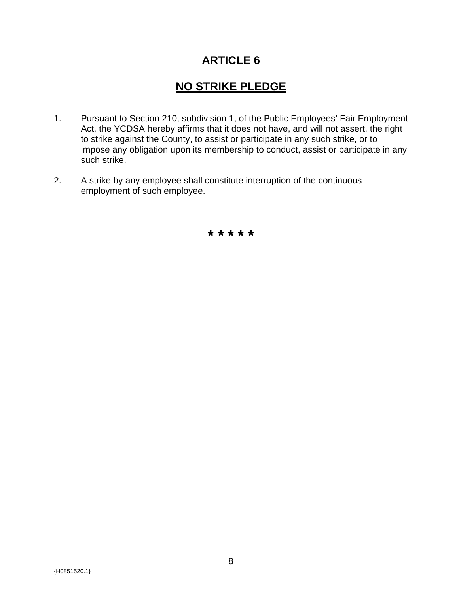#### **NO STRIKE PLEDGE**

- 1. Pursuant to Section 210, subdivision 1, of the Public Employees' Fair Employment Act, the YCDSA hereby affirms that it does not have, and will not assert, the right to strike against the County, to assist or participate in any such strike, or to impose any obligation upon its membership to conduct, assist or participate in any such strike.
- 2. A strike by any employee shall constitute interruption of the continuous employment of such employee.

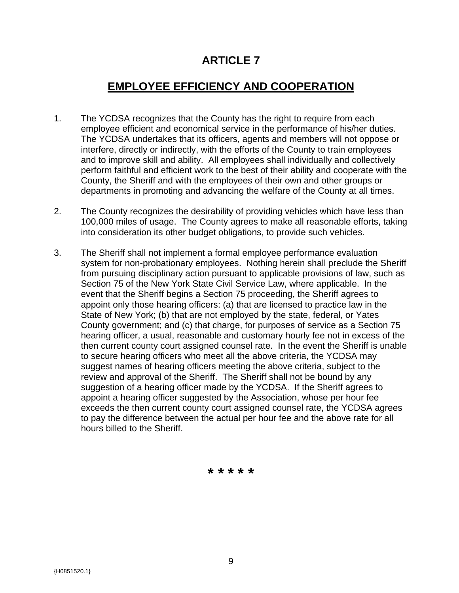#### **EMPLOYEE EFFICIENCY AND COOPERATION**

- 1. The YCDSA recognizes that the County has the right to require from each employee efficient and economical service in the performance of his/her duties. The YCDSA undertakes that its officers, agents and members will not oppose or interfere, directly or indirectly, with the efforts of the County to train employees and to improve skill and ability. All employees shall individually and collectively perform faithful and efficient work to the best of their ability and cooperate with the County, the Sheriff and with the employees of their own and other groups or departments in promoting and advancing the welfare of the County at all times.
- 2. The County recognizes the desirability of providing vehicles which have less than 100,000 miles of usage. The County agrees to make all reasonable efforts, taking into consideration its other budget obligations, to provide such vehicles.
- 3. The Sheriff shall not implement a formal employee performance evaluation system for non-probationary employees. Nothing herein shall preclude the Sheriff from pursuing disciplinary action pursuant to applicable provisions of law, such as Section 75 of the New York State Civil Service Law, where applicable. In the event that the Sheriff begins a Section 75 proceeding, the Sheriff agrees to appoint only those hearing officers: (a) that are licensed to practice law in the State of New York; (b) that are not employed by the state, federal, or Yates County government; and (c) that charge, for purposes of service as a Section 75 hearing officer, a usual, reasonable and customary hourly fee not in excess of the then current county court assigned counsel rate. In the event the Sheriff is unable to secure hearing officers who meet all the above criteria, the YCDSA may suggest names of hearing officers meeting the above criteria, subject to the review and approval of the Sheriff. The Sheriff shall not be bound by any suggestion of a hearing officer made by the YCDSA. If the Sheriff agrees to appoint a hearing officer suggested by the Association, whose per hour fee exceeds the then current county court assigned counsel rate, the YCDSA agrees to pay the difference between the actual per hour fee and the above rate for all hours billed to the Sheriff.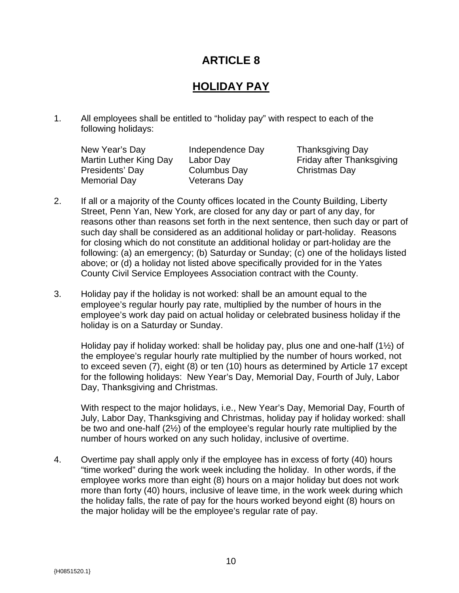#### **HOLIDAY PAY**

1. All employees shall be entitled to "holiday pay" with respect to each of the following holidays:

New Year's Day **Independence Day** Thanksgiving Day Presidents' Day Columbus Day Christmas Day Memorial Day **Veterans Day** 

Martin Luther King Day Labor Day Friday after Thanksgiving

- 2. If all or a majority of the County offices located in the County Building, Liberty Street, Penn Yan, New York, are closed for any day or part of any day, for reasons other than reasons set forth in the next sentence, then such day or part of such day shall be considered as an additional holiday or part-holiday. Reasons for closing which do not constitute an additional holiday or part-holiday are the following: (a) an emergency; (b) Saturday or Sunday; (c) one of the holidays listed above; or (d) a holiday not listed above specifically provided for in the Yates County Civil Service Employees Association contract with the County.
- 3. Holiday pay if the holiday is not worked: shall be an amount equal to the employee's regular hourly pay rate, multiplied by the number of hours in the employee's work day paid on actual holiday or celebrated business holiday if the holiday is on a Saturday or Sunday.

Holiday pay if holiday worked: shall be holiday pay, plus one and one-half (1½) of the employee's regular hourly rate multiplied by the number of hours worked, not to exceed seven (7), eight (8) or ten (10) hours as determined by Article 17 except for the following holidays: New Year's Day, Memorial Day, Fourth of July, Labor Day, Thanksgiving and Christmas.

With respect to the major holidays, i.e., New Year's Day, Memorial Day, Fourth of July, Labor Day, Thanksgiving and Christmas, holiday pay if holiday worked: shall be two and one-half (2½) of the employee's regular hourly rate multiplied by the number of hours worked on any such holiday, inclusive of overtime.

4. Overtime pay shall apply only if the employee has in excess of forty (40) hours "time worked" during the work week including the holiday. In other words, if the employee works more than eight (8) hours on a major holiday but does not work more than forty (40) hours, inclusive of leave time, in the work week during which the holiday falls, the rate of pay for the hours worked beyond eight (8) hours on the major holiday will be the employee's regular rate of pay.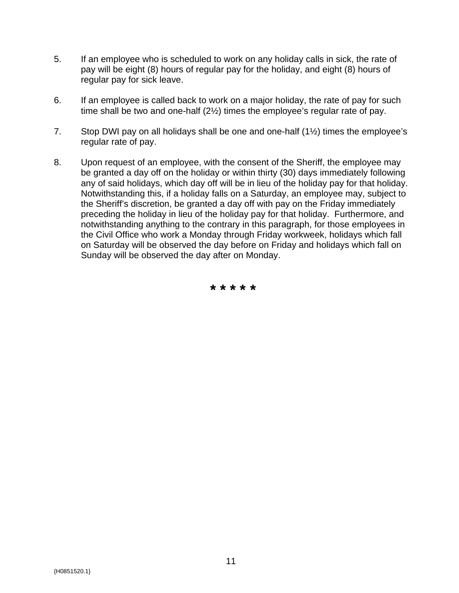- 5. If an employee who is scheduled to work on any holiday calls in sick, the rate of pay will be eight (8) hours of regular pay for the holiday, and eight (8) hours of regular pay for sick leave.
- 6. If an employee is called back to work on a major holiday, the rate of pay for such time shall be two and one-half (2½) times the employee's regular rate of pay.
- 7. Stop DWI pay on all holidays shall be one and one-half (1½) times the employee's regular rate of pay.
- 8. Upon request of an employee, with the consent of the Sheriff, the employee may be granted a day off on the holiday or within thirty (30) days immediately following any of said holidays, which day off will be in lieu of the holiday pay for that holiday. Notwithstanding this, if a holiday falls on a Saturday, an employee may, subject to the Sheriff's discretion, be granted a day off with pay on the Friday immediately preceding the holiday in lieu of the holiday pay for that holiday. Furthermore, and notwithstanding anything to the contrary in this paragraph, for those employees in the Civil Office who work a Monday through Friday workweek, holidays which fall on Saturday will be observed the day before on Friday and holidays which fall on Sunday will be observed the day after on Monday.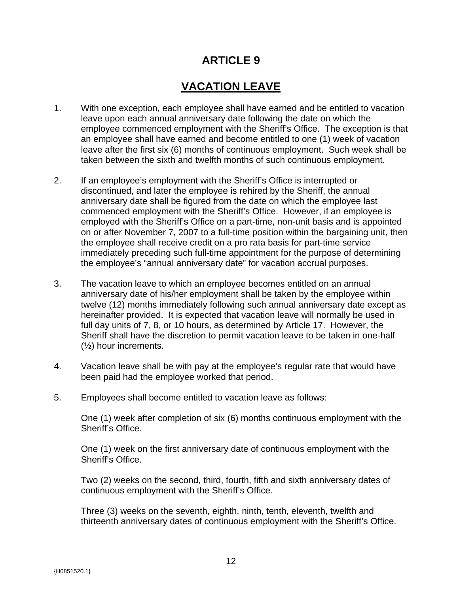## **VACATION LEAVE**

- 1. With one exception, each employee shall have earned and be entitled to vacation leave upon each annual anniversary date following the date on which the employee commenced employment with the Sheriff's Office. The exception is that an employee shall have earned and become entitled to one (1) week of vacation leave after the first six (6) months of continuous employment. Such week shall be taken between the sixth and twelfth months of such continuous employment.
- 2. If an employee's employment with the Sheriff's Office is interrupted or discontinued, and later the employee is rehired by the Sheriff, the annual anniversary date shall be figured from the date on which the employee last commenced employment with the Sheriff's Office. However, if an employee is employed with the Sheriff's Office on a part-time, non-unit basis and is appointed on or after November 7, 2007 to a full-time position within the bargaining unit, then the employee shall receive credit on a pro rata basis for part-time service immediately preceding such full-time appointment for the purpose of determining the employee's "annual anniversary date" for vacation accrual purposes.
- 3. The vacation leave to which an employee becomes entitled on an annual anniversary date of his/her employment shall be taken by the employee within twelve (12) months immediately following such annual anniversary date except as hereinafter provided. It is expected that vacation leave will normally be used in full day units of 7, 8, or 10 hours, as determined by Article 17. However, the Sheriff shall have the discretion to permit vacation leave to be taken in one-half (½) hour increments.
- 4. Vacation leave shall be with pay at the employee's regular rate that would have been paid had the employee worked that period.
- 5. Employees shall become entitled to vacation leave as follows:

One (1) week after completion of six (6) months continuous employment with the Sheriff's Office.

One (1) week on the first anniversary date of continuous employment with the Sheriff's Office.

Two (2) weeks on the second, third, fourth, fifth and sixth anniversary dates of continuous employment with the Sheriff's Office.

Three (3) weeks on the seventh, eighth, ninth, tenth, eleventh, twelfth and thirteenth anniversary dates of continuous employment with the Sheriff's Office.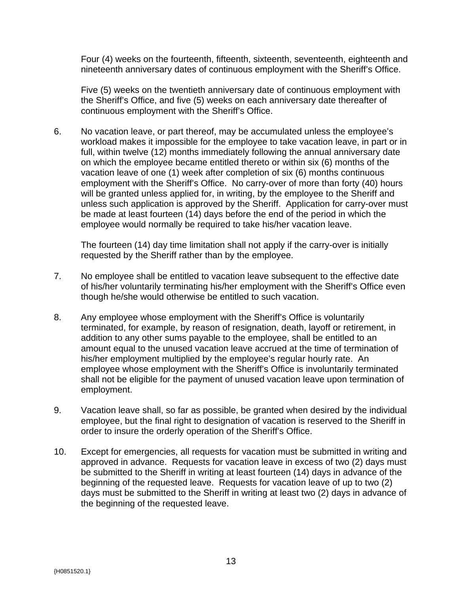Four (4) weeks on the fourteenth, fifteenth, sixteenth, seventeenth, eighteenth and nineteenth anniversary dates of continuous employment with the Sheriff's Office.

Five (5) weeks on the twentieth anniversary date of continuous employment with the Sheriff's Office, and five (5) weeks on each anniversary date thereafter of continuous employment with the Sheriff's Office.

6. No vacation leave, or part thereof, may be accumulated unless the employee's workload makes it impossible for the employee to take vacation leave, in part or in full, within twelve (12) months immediately following the annual anniversary date on which the employee became entitled thereto or within six (6) months of the vacation leave of one (1) week after completion of six (6) months continuous employment with the Sheriff's Office. No carry-over of more than forty (40) hours will be granted unless applied for, in writing, by the employee to the Sheriff and unless such application is approved by the Sheriff. Application for carry-over must be made at least fourteen (14) days before the end of the period in which the employee would normally be required to take his/her vacation leave.

The fourteen (14) day time limitation shall not apply if the carry-over is initially requested by the Sheriff rather than by the employee.

- 7. No employee shall be entitled to vacation leave subsequent to the effective date of his/her voluntarily terminating his/her employment with the Sheriff's Office even though he/she would otherwise be entitled to such vacation.
- 8. Any employee whose employment with the Sheriff's Office is voluntarily terminated, for example, by reason of resignation, death, layoff or retirement, in addition to any other sums payable to the employee, shall be entitled to an amount equal to the unused vacation leave accrued at the time of termination of his/her employment multiplied by the employee's regular hourly rate. An employee whose employment with the Sheriff's Office is involuntarily terminated shall not be eligible for the payment of unused vacation leave upon termination of employment.
- 9. Vacation leave shall, so far as possible, be granted when desired by the individual employee, but the final right to designation of vacation is reserved to the Sheriff in order to insure the orderly operation of the Sheriff's Office.
- 10. Except for emergencies, all requests for vacation must be submitted in writing and approved in advance. Requests for vacation leave in excess of two (2) days must be submitted to the Sheriff in writing at least fourteen (14) days in advance of the beginning of the requested leave. Requests for vacation leave of up to two (2) days must be submitted to the Sheriff in writing at least two (2) days in advance of the beginning of the requested leave.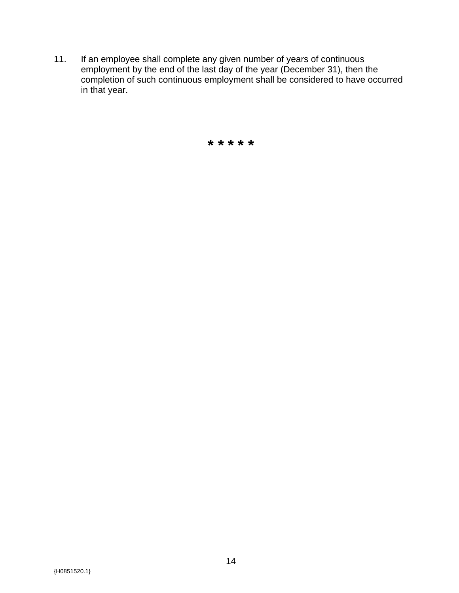11. If an employee shall complete any given number of years of continuous employment by the end of the last day of the year (December 31), then the completion of such continuous employment shall be considered to have occurred in that year.

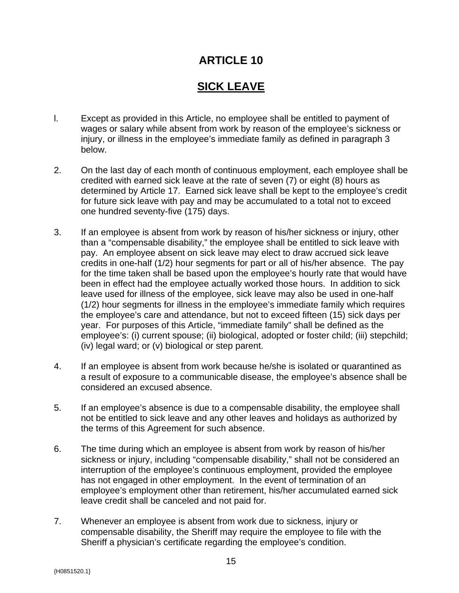## **SICK LEAVE**

- l. Except as provided in this Article, no employee shall be entitled to payment of wages or salary while absent from work by reason of the employee's sickness or injury, or illness in the employee's immediate family as defined in paragraph 3 below.
- 2. On the last day of each month of continuous employment, each employee shall be credited with earned sick leave at the rate of seven (7) or eight (8) hours as determined by Article 17. Earned sick leave shall be kept to the employee's credit for future sick leave with pay and may be accumulated to a total not to exceed one hundred seventy-five (175) days.
- 3. If an employee is absent from work by reason of his/her sickness or injury, other than a "compensable disability," the employee shall be entitled to sick leave with pay. An employee absent on sick leave may elect to draw accrued sick leave credits in one-half (1/2) hour segments for part or all of his/her absence. The pay for the time taken shall be based upon the employee's hourly rate that would have been in effect had the employee actually worked those hours. In addition to sick leave used for illness of the employee, sick leave may also be used in one-half (1/2) hour segments for illness in the employee's immediate family which requires the employee's care and attendance, but not to exceed fifteen (15) sick days per year. For purposes of this Article, "immediate family" shall be defined as the employee's: (i) current spouse; (ii) biological, adopted or foster child; (iii) stepchild; (iv) legal ward; or (v) biological or step parent.
- 4. If an employee is absent from work because he/she is isolated or quarantined as a result of exposure to a communicable disease, the employee's absence shall be considered an excused absence.
- 5. If an employee's absence is due to a compensable disability, the employee shall not be entitled to sick leave and any other leaves and holidays as authorized by the terms of this Agreement for such absence.
- 6. The time during which an employee is absent from work by reason of his/her sickness or injury, including "compensable disability," shall not be considered an interruption of the employee's continuous employment, provided the employee has not engaged in other employment. In the event of termination of an employee's employment other than retirement, his/her accumulated earned sick leave credit shall be canceled and not paid for.
- 7. Whenever an employee is absent from work due to sickness, injury or compensable disability, the Sheriff may require the employee to file with the Sheriff a physician's certificate regarding the employee's condition.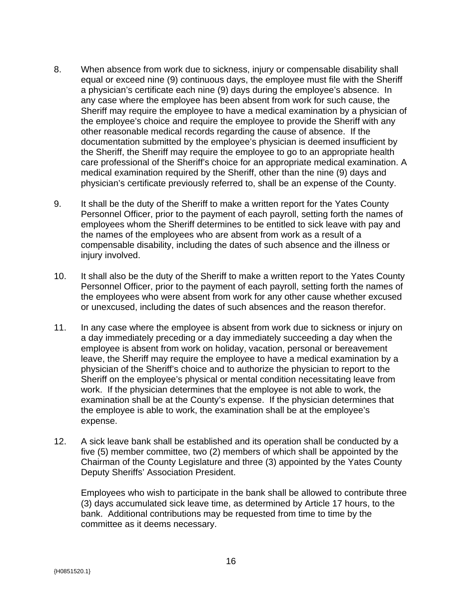- 8. When absence from work due to sickness, injury or compensable disability shall equal or exceed nine (9) continuous days, the employee must file with the Sheriff a physician's certificate each nine (9) days during the employee's absence. In any case where the employee has been absent from work for such cause, the Sheriff may require the employee to have a medical examination by a physician of the employee's choice and require the employee to provide the Sheriff with any other reasonable medical records regarding the cause of absence. If the documentation submitted by the employee's physician is deemed insufficient by the Sheriff, the Sheriff may require the employee to go to an appropriate health care professional of the Sheriff's choice for an appropriate medical examination. A medical examination required by the Sheriff, other than the nine (9) days and physician's certificate previously referred to, shall be an expense of the County.
- 9. It shall be the duty of the Sheriff to make a written report for the Yates County Personnel Officer, prior to the payment of each payroll, setting forth the names of employees whom the Sheriff determines to be entitled to sick leave with pay and the names of the employees who are absent from work as a result of a compensable disability, including the dates of such absence and the illness or injury involved.
- 10. It shall also be the duty of the Sheriff to make a written report to the Yates County Personnel Officer, prior to the payment of each payroll, setting forth the names of the employees who were absent from work for any other cause whether excused or unexcused, including the dates of such absences and the reason therefor.
- 11. In any case where the employee is absent from work due to sickness or injury on a day immediately preceding or a day immediately succeeding a day when the employee is absent from work on holiday, vacation, personal or bereavement leave, the Sheriff may require the employee to have a medical examination by a physician of the Sheriff's choice and to authorize the physician to report to the Sheriff on the employee's physical or mental condition necessitating leave from work. If the physician determines that the employee is not able to work, the examination shall be at the County's expense. If the physician determines that the employee is able to work, the examination shall be at the employee's expense.
- 12. A sick leave bank shall be established and its operation shall be conducted by a five (5) member committee, two (2) members of which shall be appointed by the Chairman of the County Legislature and three (3) appointed by the Yates County Deputy Sheriffs' Association President.

Employees who wish to participate in the bank shall be allowed to contribute three (3) days accumulated sick leave time, as determined by Article 17 hours, to the bank. Additional contributions may be requested from time to time by the committee as it deems necessary.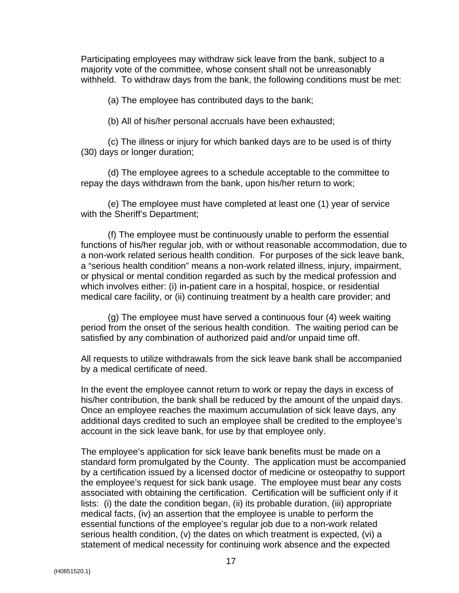Participating employees may withdraw sick leave from the bank, subject to a majority vote of the committee, whose consent shall not be unreasonably withheld. To withdraw days from the bank, the following conditions must be met:

(a) The employee has contributed days to the bank;

(b) All of his/her personal accruals have been exhausted;

 (c) The illness or injury for which banked days are to be used is of thirty (30) days or longer duration;

 (d) The employee agrees to a schedule acceptable to the committee to repay the days withdrawn from the bank, upon his/her return to work;

 (e) The employee must have completed at least one (1) year of service with the Sheriff's Department;

 (f) The employee must be continuously unable to perform the essential functions of his/her regular job, with or without reasonable accommodation, due to a non-work related serious health condition. For purposes of the sick leave bank, a "serious health condition" means a non-work related illness, injury, impairment, or physical or mental condition regarded as such by the medical profession and which involves either: (i) in-patient care in a hospital, hospice, or residential medical care facility, or (ii) continuing treatment by a health care provider; and

(g) The employee must have served a continuous four (4) week waiting period from the onset of the serious health condition. The waiting period can be satisfied by any combination of authorized paid and/or unpaid time off.

All requests to utilize withdrawals from the sick leave bank shall be accompanied by a medical certificate of need.

In the event the employee cannot return to work or repay the days in excess of his/her contribution, the bank shall be reduced by the amount of the unpaid days. Once an employee reaches the maximum accumulation of sick leave days, any additional days credited to such an employee shall be credited to the employee's account in the sick leave bank, for use by that employee only.

 The employee's application for sick leave bank benefits must be made on a standard form promulgated by the County. The application must be accompanied by a certification issued by a licensed doctor of medicine or osteopathy to support the employee's request for sick bank usage. The employee must bear any costs associated with obtaining the certification. Certification will be sufficient only if it lists: (i) the date the condition began, (ii) its probable duration, (iii) appropriate medical facts, (iv) an assertion that the employee is unable to perform the essential functions of the employee's regular job due to a non-work related serious health condition, (v) the dates on which treatment is expected, (vi) a statement of medical necessity for continuing work absence and the expected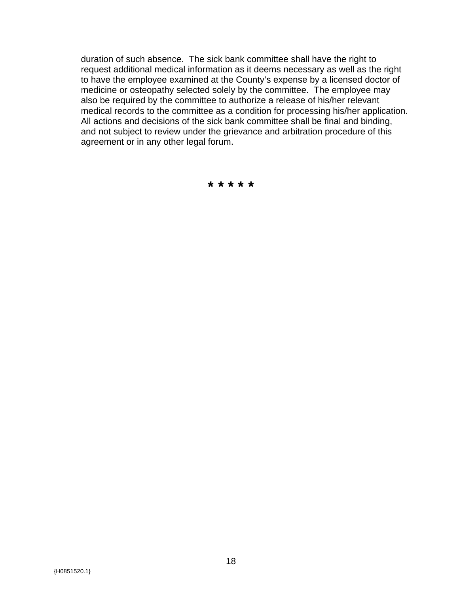duration of such absence. The sick bank committee shall have the right to request additional medical information as it deems necessary as well as the right to have the employee examined at the County's expense by a licensed doctor of medicine or osteopathy selected solely by the committee. The employee may also be required by the committee to authorize a release of his/her relevant medical records to the committee as a condition for processing his/her application. All actions and decisions of the sick bank committee shall be final and binding, and not subject to review under the grievance and arbitration procedure of this agreement or in any other legal forum.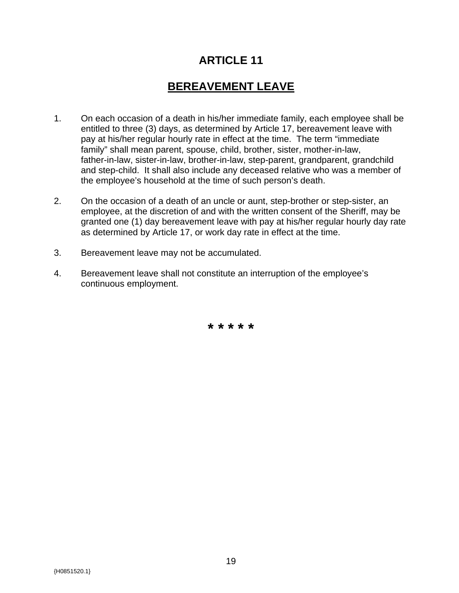#### **BEREAVEMENT LEAVE**

- 1. On each occasion of a death in his/her immediate family, each employee shall be entitled to three (3) days, as determined by Article 17, bereavement leave with pay at his/her regular hourly rate in effect at the time. The term "immediate family" shall mean parent, spouse, child, brother, sister, mother-in-law, father-in-law, sister-in-law, brother-in-law, step-parent, grandparent, grandchild and step-child. It shall also include any deceased relative who was a member of the employee's household at the time of such person's death.
- 2. On the occasion of a death of an uncle or aunt, step-brother or step-sister, an employee, at the discretion of and with the written consent of the Sheriff, may be granted one (1) day bereavement leave with pay at his/her regular hourly day rate as determined by Article 17, or work day rate in effect at the time.
- 3. Bereavement leave may not be accumulated.
- 4. Bereavement leave shall not constitute an interruption of the employee's continuous employment.

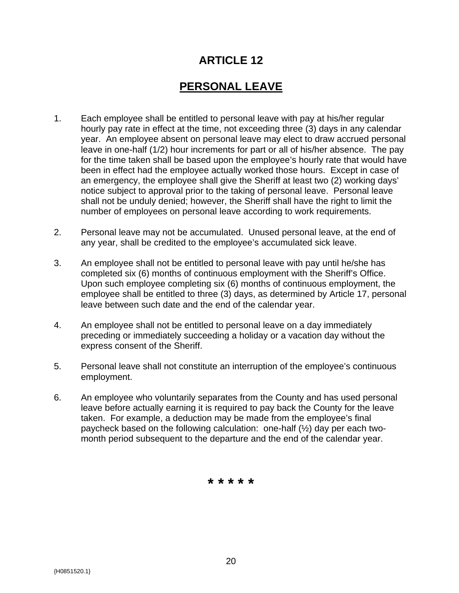#### **PERSONAL LEAVE**

- 1. Each employee shall be entitled to personal leave with pay at his/her regular hourly pay rate in effect at the time, not exceeding three (3) days in any calendar year. An employee absent on personal leave may elect to draw accrued personal leave in one-half (1/2) hour increments for part or all of his/her absence. The pay for the time taken shall be based upon the employee's hourly rate that would have been in effect had the employee actually worked those hours. Except in case of an emergency, the employee shall give the Sheriff at least two (2) working days' notice subject to approval prior to the taking of personal leave. Personal leave shall not be unduly denied; however, the Sheriff shall have the right to limit the number of employees on personal leave according to work requirements.
- 2. Personal leave may not be accumulated. Unused personal leave, at the end of any year, shall be credited to the employee's accumulated sick leave.
- 3. An employee shall not be entitled to personal leave with pay until he/she has completed six (6) months of continuous employment with the Sheriff's Office. Upon such employee completing six (6) months of continuous employment, the employee shall be entitled to three (3) days, as determined by Article 17, personal leave between such date and the end of the calendar year.
- 4. An employee shall not be entitled to personal leave on a day immediately preceding or immediately succeeding a holiday or a vacation day without the express consent of the Sheriff.
- 5. Personal leave shall not constitute an interruption of the employee's continuous employment.
- 6. An employee who voluntarily separates from the County and has used personal leave before actually earning it is required to pay back the County for the leave taken. For example, a deduction may be made from the employee's final paycheck based on the following calculation: one-half (½) day per each twomonth period subsequent to the departure and the end of the calendar year.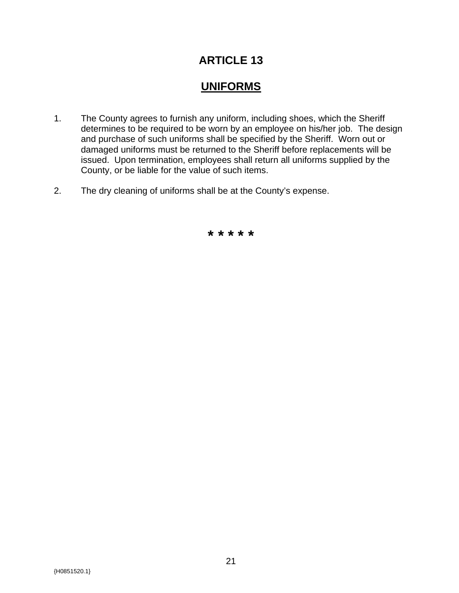#### **UNIFORMS**

- 1. The County agrees to furnish any uniform, including shoes, which the Sheriff determines to be required to be worn by an employee on his/her job. The design and purchase of such uniforms shall be specified by the Sheriff. Worn out or damaged uniforms must be returned to the Sheriff before replacements will be issued. Upon termination, employees shall return all uniforms supplied by the County, or be liable for the value of such items.
- 2. The dry cleaning of uniforms shall be at the County's expense.

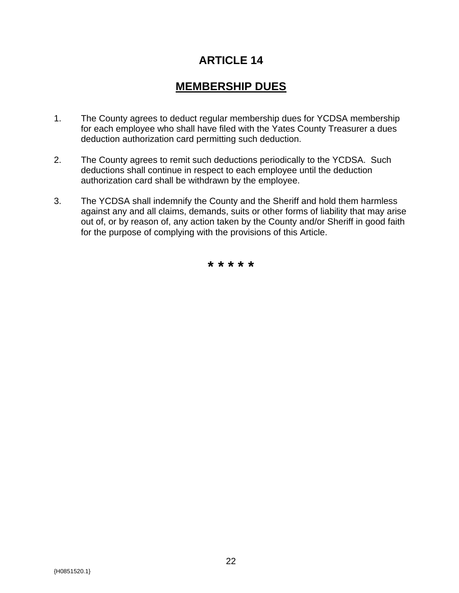#### **MEMBERSHIP DUES**

- 1. The County agrees to deduct regular membership dues for YCDSA membership for each employee who shall have filed with the Yates County Treasurer a dues deduction authorization card permitting such deduction.
- 2. The County agrees to remit such deductions periodically to the YCDSA. Such deductions shall continue in respect to each employee until the deduction authorization card shall be withdrawn by the employee.
- 3. The YCDSA shall indemnify the County and the Sheriff and hold them harmless against any and all claims, demands, suits or other forms of liability that may arise out of, or by reason of, any action taken by the County and/or Sheriff in good faith for the purpose of complying with the provisions of this Article.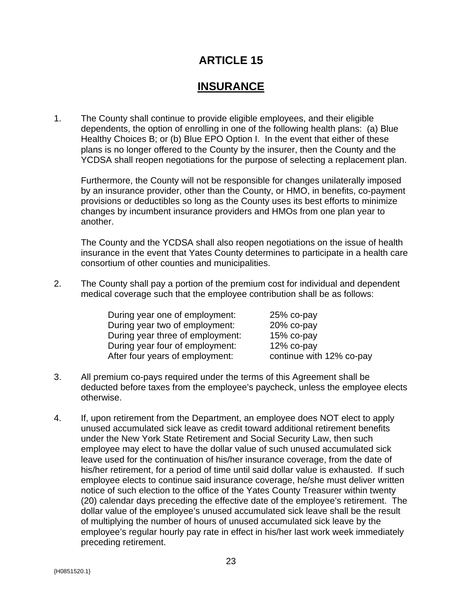#### **INSURANCE**

1. The County shall continue to provide eligible employees, and their eligible dependents, the option of enrolling in one of the following health plans: (a) Blue Healthy Choices B; or (b) Blue EPO Option I. In the event that either of these plans is no longer offered to the County by the insurer, then the County and the YCDSA shall reopen negotiations for the purpose of selecting a replacement plan.

Furthermore, the County will not be responsible for changes unilaterally imposed by an insurance provider, other than the County, or HMO, in benefits, co-payment provisions or deductibles so long as the County uses its best efforts to minimize changes by incumbent insurance providers and HMOs from one plan year to another.

The County and the YCDSA shall also reopen negotiations on the issue of health insurance in the event that Yates County determines to participate in a health care consortium of other counties and municipalities.

2. The County shall pay a portion of the premium cost for individual and dependent medical coverage such that the employee contribution shall be as follows:

| During year one of employment:   | $25%$ co-pay             |
|----------------------------------|--------------------------|
| During year two of employment:   | 20% co-pay               |
| During year three of employment: | 15% co-pay               |
| During year four of employment:  | 12% co-pay               |
| After four years of employment:  | continue with 12% co-pay |

- 3. All premium co-pays required under the terms of this Agreement shall be deducted before taxes from the employee's paycheck, unless the employee elects otherwise.
- 4. If, upon retirement from the Department, an employee does NOT elect to apply unused accumulated sick leave as credit toward additional retirement benefits under the New York State Retirement and Social Security Law, then such employee may elect to have the dollar value of such unused accumulated sick leave used for the continuation of his/her insurance coverage, from the date of his/her retirement, for a period of time until said dollar value is exhausted. If such employee elects to continue said insurance coverage, he/she must deliver written notice of such election to the office of the Yates County Treasurer within twenty (20) calendar days preceding the effective date of the employee's retirement. The dollar value of the employee's unused accumulated sick leave shall be the result of multiplying the number of hours of unused accumulated sick leave by the employee's regular hourly pay rate in effect in his/her last work week immediately preceding retirement.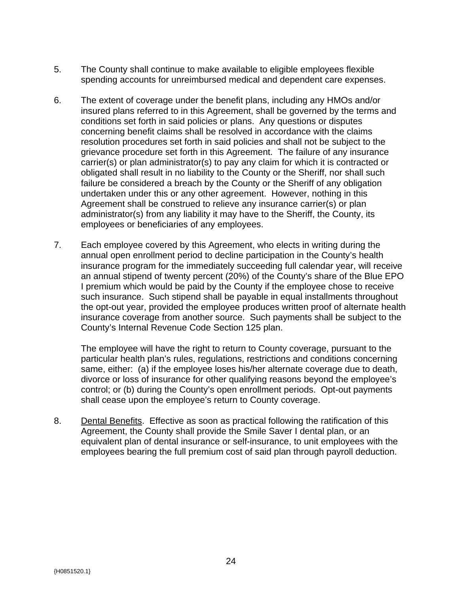- 5. The County shall continue to make available to eligible employees flexible spending accounts for unreimbursed medical and dependent care expenses.
- 6. The extent of coverage under the benefit plans, including any HMOs and/or insured plans referred to in this Agreement, shall be governed by the terms and conditions set forth in said policies or plans. Any questions or disputes concerning benefit claims shall be resolved in accordance with the claims resolution procedures set forth in said policies and shall not be subject to the grievance procedure set forth in this Agreement. The failure of any insurance carrier(s) or plan administrator(s) to pay any claim for which it is contracted or obligated shall result in no liability to the County or the Sheriff, nor shall such failure be considered a breach by the County or the Sheriff of any obligation undertaken under this or any other agreement. However, nothing in this Agreement shall be construed to relieve any insurance carrier(s) or plan administrator(s) from any liability it may have to the Sheriff, the County, its employees or beneficiaries of any employees.
- 7. Each employee covered by this Agreement, who elects in writing during the annual open enrollment period to decline participation in the County's health insurance program for the immediately succeeding full calendar year, will receive an annual stipend of twenty percent (20%) of the County's share of the Blue EPO I premium which would be paid by the County if the employee chose to receive such insurance. Such stipend shall be payable in equal installments throughout the opt-out year, provided the employee produces written proof of alternate health insurance coverage from another source. Such payments shall be subject to the County's Internal Revenue Code Section 125 plan.

The employee will have the right to return to County coverage, pursuant to the particular health plan's rules, regulations, restrictions and conditions concerning same, either: (a) if the employee loses his/her alternate coverage due to death, divorce or loss of insurance for other qualifying reasons beyond the employee's control; or (b) during the County's open enrollment periods. Opt-out payments shall cease upon the employee's return to County coverage.

8. Dental Benefits. Effective as soon as practical following the ratification of this Agreement, the County shall provide the Smile Saver I dental plan, or an equivalent plan of dental insurance or self-insurance, to unit employees with the employees bearing the full premium cost of said plan through payroll deduction.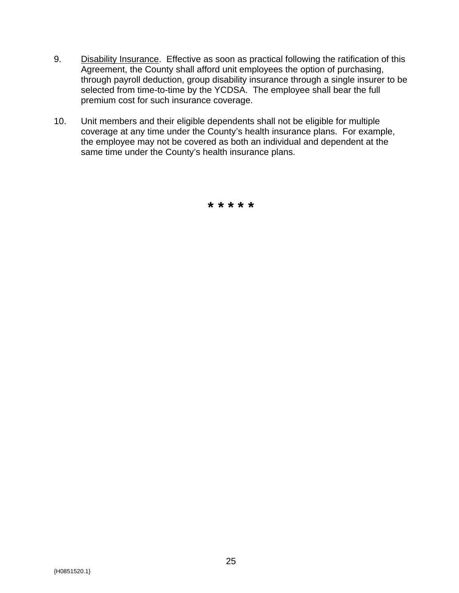- 9. Disability Insurance. Effective as soon as practical following the ratification of this Agreement, the County shall afford unit employees the option of purchasing, through payroll deduction, group disability insurance through a single insurer to be selected from time-to-time by the YCDSA. The employee shall bear the full premium cost for such insurance coverage.
- 10. Unit members and their eligible dependents shall not be eligible for multiple coverage at any time under the County's health insurance plans. For example, the employee may not be covered as both an individual and dependent at the same time under the County's health insurance plans.

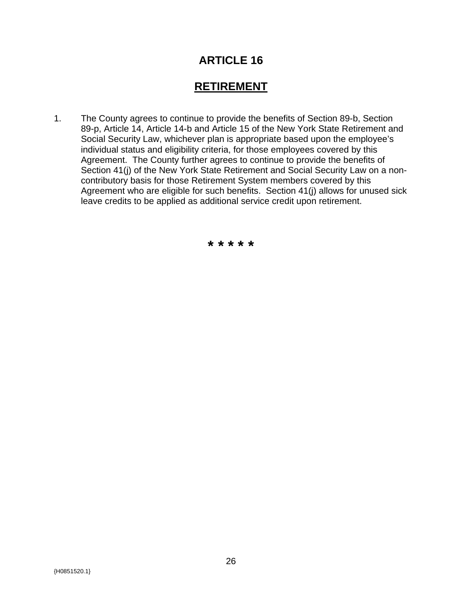#### **RETIREMENT**

1. The County agrees to continue to provide the benefits of Section 89-b, Section 89-p, Article 14, Article 14-b and Article 15 of the New York State Retirement and Social Security Law, whichever plan is appropriate based upon the employee's individual status and eligibility criteria, for those employees covered by this Agreement. The County further agrees to continue to provide the benefits of Section 41(j) of the New York State Retirement and Social Security Law on a noncontributory basis for those Retirement System members covered by this Agreement who are eligible for such benefits. Section 41(j) allows for unused sick leave credits to be applied as additional service credit upon retirement.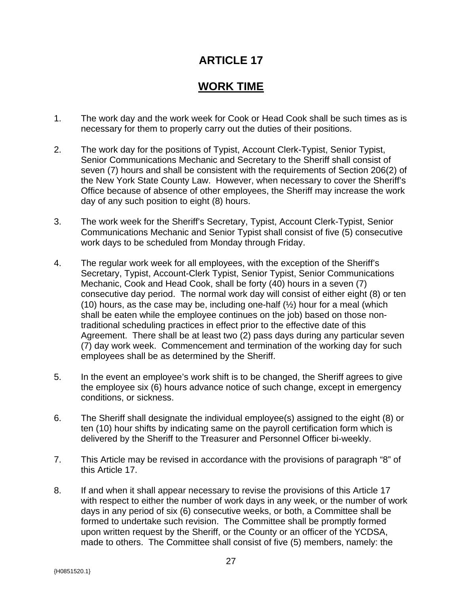#### **WORK TIME**

- 1. The work day and the work week for Cook or Head Cook shall be such times as is necessary for them to properly carry out the duties of their positions.
- 2. The work day for the positions of Typist, Account Clerk-Typist, Senior Typist, Senior Communications Mechanic and Secretary to the Sheriff shall consist of seven (7) hours and shall be consistent with the requirements of Section 206(2) of the New York State County Law. However, when necessary to cover the Sheriff's Office because of absence of other employees, the Sheriff may increase the work day of any such position to eight (8) hours.
- 3. The work week for the Sheriff's Secretary, Typist, Account Clerk-Typist, Senior Communications Mechanic and Senior Typist shall consist of five (5) consecutive work days to be scheduled from Monday through Friday.
- 4. The regular work week for all employees, with the exception of the Sheriff's Secretary, Typist, Account-Clerk Typist, Senior Typist, Senior Communications Mechanic, Cook and Head Cook, shall be forty (40) hours in a seven (7) consecutive day period. The normal work day will consist of either eight (8) or ten (10) hours, as the case may be, including one-half  $(\frac{1}{2})$  hour for a meal (which shall be eaten while the employee continues on the job) based on those nontraditional scheduling practices in effect prior to the effective date of this Agreement. There shall be at least two (2) pass days during any particular seven (7) day work week. Commencement and termination of the working day for such employees shall be as determined by the Sheriff.
- 5. In the event an employee's work shift is to be changed, the Sheriff agrees to give the employee six (6) hours advance notice of such change, except in emergency conditions, or sickness.
- 6. The Sheriff shall designate the individual employee(s) assigned to the eight (8) or ten (10) hour shifts by indicating same on the payroll certification form which is delivered by the Sheriff to the Treasurer and Personnel Officer bi-weekly.
- 7. This Article may be revised in accordance with the provisions of paragraph "8" of this Article 17.
- 8. If and when it shall appear necessary to revise the provisions of this Article 17 with respect to either the number of work days in any week, or the number of work days in any period of six (6) consecutive weeks, or both, a Committee shall be formed to undertake such revision. The Committee shall be promptly formed upon written request by the Sheriff, or the County or an officer of the YCDSA, made to others. The Committee shall consist of five (5) members, namely: the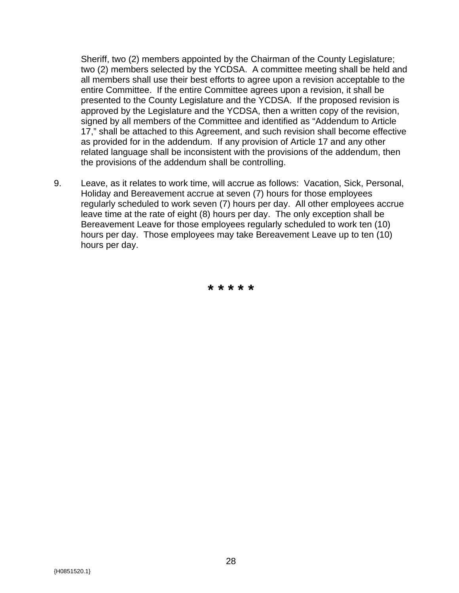Sheriff, two (2) members appointed by the Chairman of the County Legislature; two (2) members selected by the YCDSA. A committee meeting shall be held and all members shall use their best efforts to agree upon a revision acceptable to the entire Committee. If the entire Committee agrees upon a revision, it shall be presented to the County Legislature and the YCDSA. If the proposed revision is approved by the Legislature and the YCDSA, then a written copy of the revision, signed by all members of the Committee and identified as "Addendum to Article 17," shall be attached to this Agreement, and such revision shall become effective as provided for in the addendum. If any provision of Article 17 and any other related language shall be inconsistent with the provisions of the addendum, then the provisions of the addendum shall be controlling.

9. Leave, as it relates to work time, will accrue as follows: Vacation, Sick, Personal, Holiday and Bereavement accrue at seven (7) hours for those employees regularly scheduled to work seven (7) hours per day. All other employees accrue leave time at the rate of eight (8) hours per day. The only exception shall be Bereavement Leave for those employees regularly scheduled to work ten (10) hours per day. Those employees may take Bereavement Leave up to ten (10) hours per day.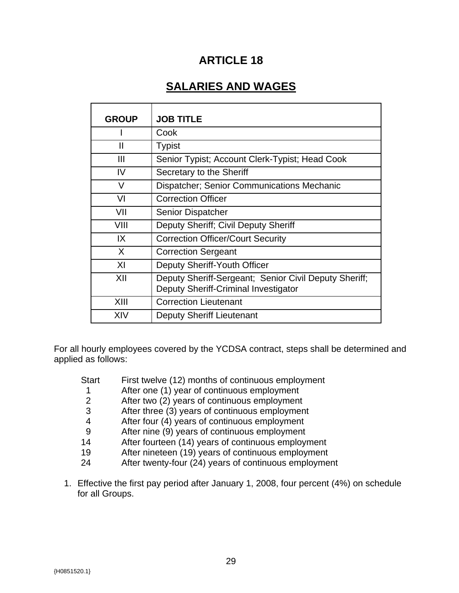#### **SALARIES AND WAGES**

| <b>GROUP</b> | <b>JOB TITLE</b>                                                                              |
|--------------|-----------------------------------------------------------------------------------------------|
|              | Cook                                                                                          |
| Ш            | <b>Typist</b>                                                                                 |
| Ш            | Senior Typist; Account Clerk-Typist; Head Cook                                                |
| IV           | Secretary to the Sheriff                                                                      |
| V            | <b>Dispatcher; Senior Communications Mechanic</b>                                             |
| VI           | <b>Correction Officer</b>                                                                     |
| VII          | Senior Dispatcher                                                                             |
| VIII         | Deputy Sheriff; Civil Deputy Sheriff                                                          |
| IX           | <b>Correction Officer/Court Security</b>                                                      |
| $\mathsf{X}$ | <b>Correction Sergeant</b>                                                                    |
| XI           | Deputy Sheriff-Youth Officer                                                                  |
| XII          | Deputy Sheriff-Sergeant; Senior Civil Deputy Sheriff;<br>Deputy Sheriff-Criminal Investigator |
| XIII         | <b>Correction Lieutenant</b>                                                                  |
| XIV          | <b>Deputy Sheriff Lieutenant</b>                                                              |

For all hourly employees covered by the YCDSA contract, steps shall be determined and applied as follows:

- Start First twelve (12) months of continuous employment
	- 1 After one (1) year of continuous employment
- 2 After two (2) years of continuous employment
- 3 After three (3) years of continuous employment
- 4 After four (4) years of continuous employment
- 9 After nine (9) years of continuous employment
- 14 After fourteen (14) years of continuous employment
- 19 After nineteen (19) years of continuous employment<br>24 After twenty-four (24) years of continuous employme
- After twenty-four  $(24)$  years of continuous employment
- 1. Effective the first pay period after January 1, 2008, four percent (4%) on schedule for all Groups.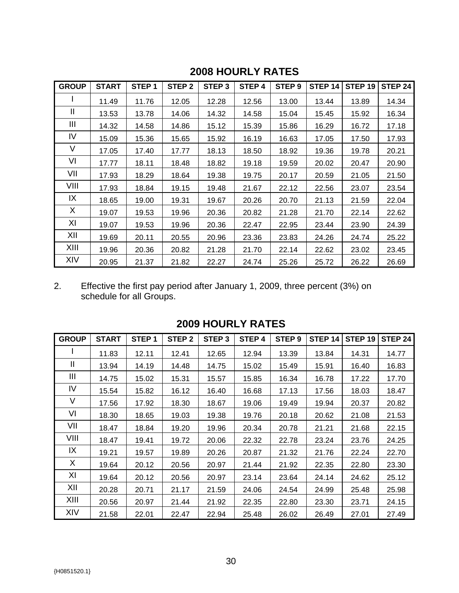| <b>GROUP</b> | <b>START</b> | STEP <sub>1</sub> | STEP <sub>2</sub> | STEP <sub>3</sub> | STEP 4 | STEP <sub>9</sub> | STEP <sub>14</sub> | STEP <sub>19</sub> | <b>STEP 24</b> |
|--------------|--------------|-------------------|-------------------|-------------------|--------|-------------------|--------------------|--------------------|----------------|
|              | 11.49        | 11.76             | 12.05             | 12.28             | 12.56  | 13.00             | 13.44              | 13.89              | 14.34          |
| Ш            | 13.53        | 13.78             | 14.06             | 14.32             | 14.58  | 15.04             | 15.45              | 15.92              | 16.34          |
| Ш            | 14.32        | 14.58             | 14.86             | 15.12             | 15.39  | 15.86             | 16.29              | 16.72              | 17.18          |
| IV           | 15.09        | 15.36             | 15.65             | 15.92             | 16.19  | 16.63             | 17.05              | 17.50              | 17.93          |
| V            | 17.05        | 17.40             | 17.77             | 18.13             | 18.50  | 18.92             | 19.36              | 19.78              | 20.21          |
| VI           | 17.77        | 18.11             | 18.48             | 18.82             | 19.18  | 19.59             | 20.02              | 20.47              | 20.90          |
| VII          | 17.93        | 18.29             | 18.64             | 19.38             | 19.75  | 20.17             | 20.59              | 21.05              | 21.50          |
| VIII         | 17.93        | 18.84             | 19.15             | 19.48             | 21.67  | 22.12             | 22.56              | 23.07              | 23.54          |
| IX           | 18.65        | 19.00             | 19.31             | 19.67             | 20.26  | 20.70             | 21.13              | 21.59              | 22.04          |
| X.           | 19.07        | 19.53             | 19.96             | 20.36             | 20.82  | 21.28             | 21.70              | 22.14              | 22.62          |
| ΧI           | 19.07        | 19.53             | 19.96             | 20.36             | 22.47  | 22.95             | 23.44              | 23.90              | 24.39          |
| XII          | 19.69        | 20.11             | 20.55             | 20.96             | 23.36  | 23.83             | 24.26              | 24.74              | 25.22          |
| XIII         | 19.96        | 20.36             | 20.82             | 21.28             | 21.70  | 22.14             | 22.62              | 23.02              | 23.45          |
| XIV          | 20.95        | 21.37             | 21.82             | 22.27             | 24.74  | 25.26             | 25.72              | 26.22              | 26.69          |

#### **2008 HOURLY RATES**

2. Effective the first pay period after January 1, 2009, three percent (3%) on schedule for all Groups.

| <b>GROUP</b> | <b>START</b> | STEP <sub>1</sub> | STEP <sub>2</sub> | STEP <sub>3</sub> | STEP 4 | STEP <sub>9</sub> | STEP 14 | STEP <sub>19</sub> | <b>STEP 24</b> |
|--------------|--------------|-------------------|-------------------|-------------------|--------|-------------------|---------|--------------------|----------------|
|              | 11.83        | 12.11             | 12.41             | 12.65             | 12.94  | 13.39             | 13.84   | 14.31              | 14.77          |
| Ш            | 13.94        | 14.19             | 14.48             | 14.75             | 15.02  | 15.49             | 15.91   | 16.40              | 16.83          |
| Ш            | 14.75        | 15.02             | 15.31             | 15.57             | 15.85  | 16.34             | 16.78   | 17.22              | 17.70          |
| IV           | 15.54        | 15.82             | 16.12             | 16.40             | 16.68  | 17.13             | 17.56   | 18.03              | 18.47          |
| V            | 17.56        | 17.92             | 18.30             | 18.67             | 19.06  | 19.49             | 19.94   | 20.37              | 20.82          |
| VI           | 18.30        | 18.65             | 19.03             | 19.38             | 19.76  | 20.18             | 20.62   | 21.08              | 21.53          |
| VII          | 18.47        | 18.84             | 19.20             | 19.96             | 20.34  | 20.78             | 21.21   | 21.68              | 22.15          |
| VIII         | 18.47        | 19.41             | 19.72             | 20.06             | 22.32  | 22.78             | 23.24   | 23.76              | 24.25          |
| IΧ           | 19.21        | 19.57             | 19.89             | 20.26             | 20.87  | 21.32             | 21.76   | 22.24              | 22.70          |
| X            | 19.64        | 20.12             | 20.56             | 20.97             | 21.44  | 21.92             | 22.35   | 22.80              | 23.30          |
| XI           | 19.64        | 20.12             | 20.56             | 20.97             | 23.14  | 23.64             | 24.14   | 24.62              | 25.12          |
| XII          | 20.28        | 20.71             | 21.17             | 21.59             | 24.06  | 24.54             | 24.99   | 25.48              | 25.98          |
| XIII         | 20.56        | 20.97             | 21.44             | 21.92             | 22.35  | 22.80             | 23.30   | 23.71              | 24.15          |
| <b>XIV</b>   | 21.58        | 22.01             | 22.47             | 22.94             | 25.48  | 26.02             | 26.49   | 27.01              | 27.49          |

## **2009 HOURLY RATES**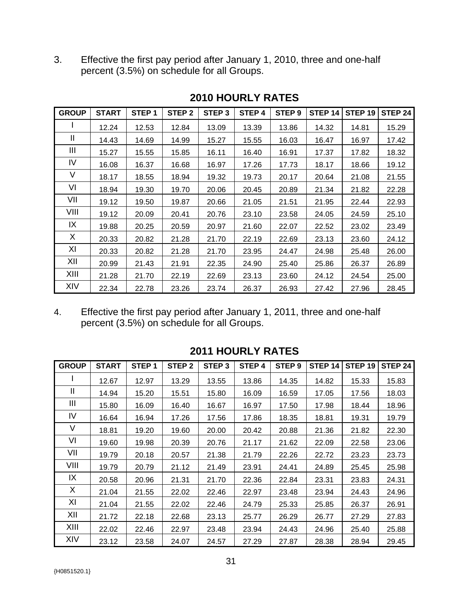3. Effective the first pay period after January 1, 2010, three and one-half percent (3.5%) on schedule for all Groups.

| <b>GROUP</b> | <b>START</b> | STEP <sub>1</sub> | STEP <sub>2</sub> | STEP <sub>3</sub> | STEP 4 | STEP <sub>9</sub> | STEP <sub>14</sub> | <b>STEP 19</b> | <b>STEP 24</b> |
|--------------|--------------|-------------------|-------------------|-------------------|--------|-------------------|--------------------|----------------|----------------|
|              | 12.24        | 12.53             | 12.84             | 13.09             | 13.39  | 13.86             | 14.32              | 14.81          | 15.29          |
| Ш            | 14.43        | 14.69             | 14.99             | 15.27             | 15.55  | 16.03             | 16.47              | 16.97          | 17.42          |
| Ш            | 15.27        | 15.55             | 15.85             | 16.11             | 16.40  | 16.91             | 17.37              | 17.82          | 18.32          |
| IV           | 16.08        | 16.37             | 16.68             | 16.97             | 17.26  | 17.73             | 18.17              | 18.66          | 19.12          |
| V            | 18.17        | 18.55             | 18.94             | 19.32             | 19.73  | 20.17             | 20.64              | 21.08          | 21.55          |
| VI           | 18.94        | 19.30             | 19.70             | 20.06             | 20.45  | 20.89             | 21.34              | 21.82          | 22.28          |
| VII          | 19.12        | 19.50             | 19.87             | 20.66             | 21.05  | 21.51             | 21.95              | 22.44          | 22.93          |
| VIII         | 19.12        | 20.09             | 20.41             | 20.76             | 23.10  | 23.58             | 24.05              | 24.59          | 25.10          |
| IX.          | 19.88        | 20.25             | 20.59             | 20.97             | 21.60  | 22.07             | 22.52              | 23.02          | 23.49          |
| X            | 20.33        | 20.82             | 21.28             | 21.70             | 22.19  | 22.69             | 23.13              | 23.60          | 24.12          |
| XI           | 20.33        | 20.82             | 21.28             | 21.70             | 23.95  | 24.47             | 24.98              | 25.48          | 26.00          |
| XII          | 20.99        | 21.43             | 21.91             | 22.35             | 24.90  | 25.40             | 25.86              | 26.37          | 26.89          |
| XIII         | 21.28        | 21.70             | 22.19             | 22.69             | 23.13  | 23.60             | 24.12              | 24.54          | 25.00          |
| XIV          | 22.34        | 22.78             | 23.26             | 23.74             | 26.37  | 26.93             | 27.42              | 27.96          | 28.45          |

#### **2010 HOURLY RATES**

4. Effective the first pay period after January 1, 2011, three and one-half percent (3.5%) on schedule for all Groups.

| <b>GROUP</b> | <b>START</b> | STEP <sub>1</sub> | STEP <sub>2</sub> | STEP <sub>3</sub> | STEP 4 | STEP <sub>9</sub> | STEP <sub>14</sub> | STEP <sub>19</sub> | STEP 24 |
|--------------|--------------|-------------------|-------------------|-------------------|--------|-------------------|--------------------|--------------------|---------|
|              | 12.67        | 12.97             | 13.29             | 13.55             | 13.86  | 14.35             | 14.82              | 15.33              | 15.83   |
| Ш            | 14.94        | 15.20             | 15.51             | 15.80             | 16.09  | 16.59             | 17.05              | 17.56              | 18.03   |
| Ш            | 15.80        | 16.09             | 16.40             | 16.67             | 16.97  | 17.50             | 17.98              | 18.44              | 18.96   |
| IV           | 16.64        | 16.94             | 17.26             | 17.56             | 17.86  | 18.35             | 18.81              | 19.31              | 19.79   |
| V            | 18.81        | 19.20             | 19.60             | 20.00             | 20.42  | 20.88             | 21.36              | 21.82              | 22.30   |
| VI           | 19.60        | 19.98             | 20.39             | 20.76             | 21.17  | 21.62             | 22.09              | 22.58              | 23.06   |
| VII          | 19.79        | 20.18             | 20.57             | 21.38             | 21.79  | 22.26             | 22.72              | 23.23              | 23.73   |
| VIII         | 19.79        | 20.79             | 21.12             | 21.49             | 23.91  | 24.41             | 24.89              | 25.45              | 25.98   |
| IX           | 20.58        | 20.96             | 21.31             | 21.70             | 22.36  | 22.84             | 23.31              | 23.83              | 24.31   |
| X            | 21.04        | 21.55             | 22.02             | 22.46             | 22.97  | 23.48             | 23.94              | 24.43              | 24.96   |
| ΧI           | 21.04        | 21.55             | 22.02             | 22.46             | 24.79  | 25.33             | 25.85              | 26.37              | 26.91   |
| XII          | 21.72        | 22.18             | 22.68             | 23.13             | 25.77  | 26.29             | 26.77              | 27.29              | 27.83   |
| XIII         | 22.02        | 22.46             | 22.97             | 23.48             | 23.94  | 24.43             | 24.96              | 25.40              | 25.88   |
| XIV          | 23.12        | 23.58             | 24.07             | 24.57             | 27.29  | 27.87             | 28.38              | 28.94              | 29.45   |

#### **2011 HOURLY RATES**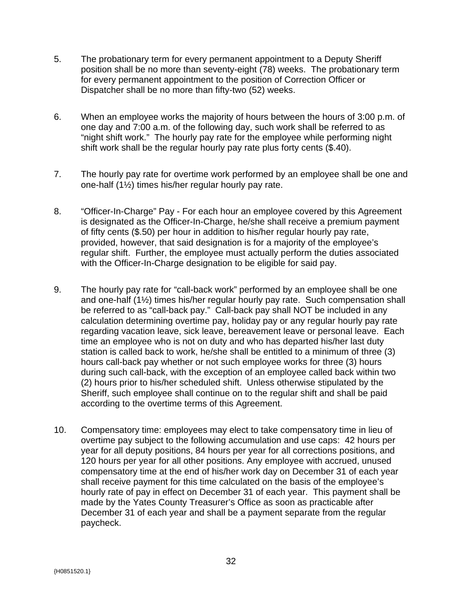- 5. The probationary term for every permanent appointment to a Deputy Sheriff position shall be no more than seventy-eight (78) weeks. The probationary term for every permanent appointment to the position of Correction Officer or Dispatcher shall be no more than fifty-two (52) weeks.
- 6. When an employee works the majority of hours between the hours of 3:00 p.m. of one day and 7:00 a.m. of the following day, such work shall be referred to as "night shift work." The hourly pay rate for the employee while performing night shift work shall be the regular hourly pay rate plus forty cents (\$.40).
- 7. The hourly pay rate for overtime work performed by an employee shall be one and one-half (1½) times his/her regular hourly pay rate.
- 8. "Officer-In-Charge" Pay For each hour an employee covered by this Agreement is designated as the Officer-In-Charge, he/she shall receive a premium payment of fifty cents (\$.50) per hour in addition to his/her regular hourly pay rate, provided, however, that said designation is for a majority of the employee's regular shift. Further, the employee must actually perform the duties associated with the Officer-In-Charge designation to be eligible for said pay.
- 9. The hourly pay rate for "call-back work" performed by an employee shall be one and one-half (1½) times his/her regular hourly pay rate. Such compensation shall be referred to as "call-back pay." Call-back pay shall NOT be included in any calculation determining overtime pay, holiday pay or any regular hourly pay rate regarding vacation leave, sick leave, bereavement leave or personal leave. Each time an employee who is not on duty and who has departed his/her last duty station is called back to work, he/she shall be entitled to a minimum of three (3) hours call-back pay whether or not such employee works for three (3) hours during such call-back, with the exception of an employee called back within two (2) hours prior to his/her scheduled shift. Unless otherwise stipulated by the Sheriff, such employee shall continue on to the regular shift and shall be paid according to the overtime terms of this Agreement.
- 10. Compensatory time: employees may elect to take compensatory time in lieu of overtime pay subject to the following accumulation and use caps: 42 hours per year for all deputy positions, 84 hours per year for all corrections positions, and 120 hours per year for all other positions. Any employee with accrued, unused compensatory time at the end of his/her work day on December 31 of each year shall receive payment for this time calculated on the basis of the employee's hourly rate of pay in effect on December 31 of each year. This payment shall be made by the Yates County Treasurer's Office as soon as practicable after December 31 of each year and shall be a payment separate from the regular paycheck.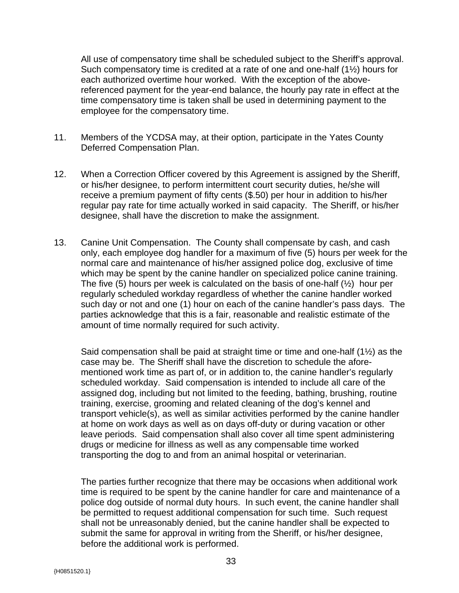All use of compensatory time shall be scheduled subject to the Sheriff's approval. Such compensatory time is credited at a rate of one and one-half (1½) hours for each authorized overtime hour worked. With the exception of the abovereferenced payment for the year-end balance, the hourly pay rate in effect at the time compensatory time is taken shall be used in determining payment to the employee for the compensatory time.

- 11. Members of the YCDSA may, at their option, participate in the Yates County Deferred Compensation Plan.
- 12. When a Correction Officer covered by this Agreement is assigned by the Sheriff, or his/her designee, to perform intermittent court security duties, he/she will receive a premium payment of fifty cents (\$.50) per hour in addition to his/her regular pay rate for time actually worked in said capacity. The Sheriff, or his/her designee, shall have the discretion to make the assignment.
- 13. Canine Unit Compensation. The County shall compensate by cash, and cash only, each employee dog handler for a maximum of five (5) hours per week for the normal care and maintenance of his/her assigned police dog, exclusive of time which may be spent by the canine handler on specialized police canine training. The five (5) hours per week is calculated on the basis of one-half  $(\frac{1}{2})$  hour per regularly scheduled workday regardless of whether the canine handler worked such day or not and one (1) hour on each of the canine handler's pass days. The parties acknowledge that this is a fair, reasonable and realistic estimate of the amount of time normally required for such activity.

Said compensation shall be paid at straight time or time and one-half  $(1\frac{1}{2})$  as the case may be. The Sheriff shall have the discretion to schedule the aforementioned work time as part of, or in addition to, the canine handler's regularly scheduled workday. Said compensation is intended to include all care of the assigned dog, including but not limited to the feeding, bathing, brushing, routine training, exercise, grooming and related cleaning of the dog's kennel and transport vehicle(s), as well as similar activities performed by the canine handler at home on work days as well as on days off-duty or during vacation or other leave periods. Said compensation shall also cover all time spent administering drugs or medicine for illness as well as any compensable time worked transporting the dog to and from an animal hospital or veterinarian.

The parties further recognize that there may be occasions when additional work time is required to be spent by the canine handler for care and maintenance of a police dog outside of normal duty hours. In such event, the canine handler shall be permitted to request additional compensation for such time. Such request shall not be unreasonably denied, but the canine handler shall be expected to submit the same for approval in writing from the Sheriff, or his/her designee, before the additional work is performed.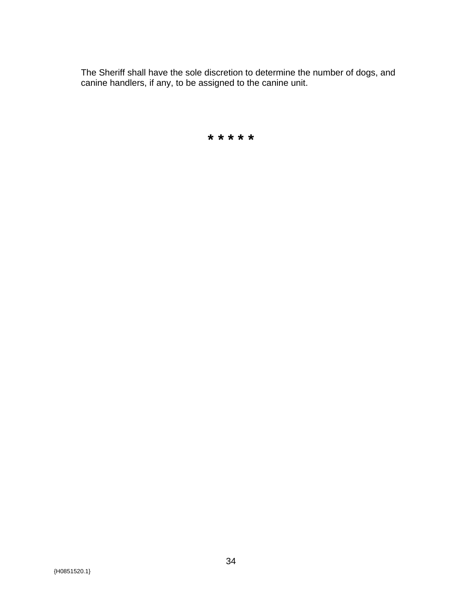The Sheriff shall have the sole discretion to determine the number of dogs, and canine handlers, if any, to be assigned to the canine unit.

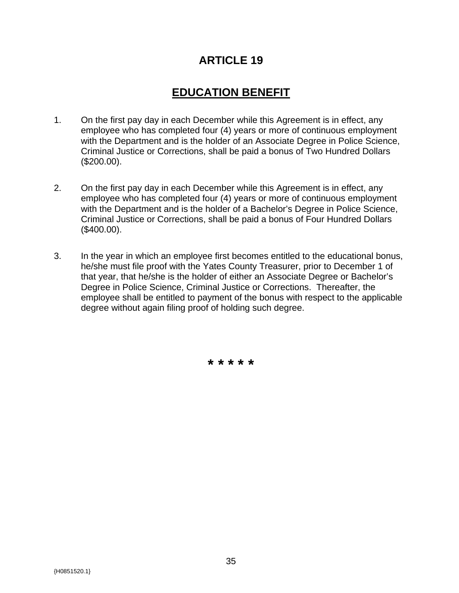## **EDUCATION BENEFIT**

- 1. On the first pay day in each December while this Agreement is in effect, any employee who has completed four (4) years or more of continuous employment with the Department and is the holder of an Associate Degree in Police Science, Criminal Justice or Corrections, shall be paid a bonus of Two Hundred Dollars (\$200.00).
- 2. On the first pay day in each December while this Agreement is in effect, any employee who has completed four (4) years or more of continuous employment with the Department and is the holder of a Bachelor's Degree in Police Science, Criminal Justice or Corrections, shall be paid a bonus of Four Hundred Dollars (\$400.00).
- 3. In the year in which an employee first becomes entitled to the educational bonus, he/she must file proof with the Yates County Treasurer, prior to December 1 of that year, that he/she is the holder of either an Associate Degree or Bachelor's Degree in Police Science, Criminal Justice or Corrections. Thereafter, the employee shall be entitled to payment of the bonus with respect to the applicable degree without again filing proof of holding such degree.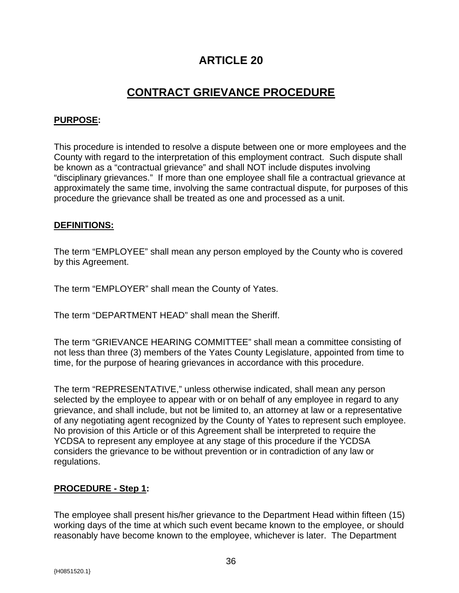## **CONTRACT GRIEVANCE PROCEDURE**

#### **PURPOSE:**

This procedure is intended to resolve a dispute between one or more employees and the County with regard to the interpretation of this employment contract. Such dispute shall be known as a "contractual grievance" and shall NOT include disputes involving "disciplinary grievances." If more than one employee shall file a contractual grievance at approximately the same time, involving the same contractual dispute, for purposes of this procedure the grievance shall be treated as one and processed as a unit.

#### **DEFINITIONS:**

The term "EMPLOYEE" shall mean any person employed by the County who is covered by this Agreement.

The term "EMPLOYER" shall mean the County of Yates.

The term "DEPARTMENT HEAD" shall mean the Sheriff.

The term "GRIEVANCE HEARING COMMITTEE" shall mean a committee consisting of not less than three (3) members of the Yates County Legislature, appointed from time to time, for the purpose of hearing grievances in accordance with this procedure.

The term "REPRESENTATIVE," unless otherwise indicated, shall mean any person selected by the employee to appear with or on behalf of any employee in regard to any grievance, and shall include, but not be limited to, an attorney at law or a representative of any negotiating agent recognized by the County of Yates to represent such employee. No provision of this Article or of this Agreement shall be interpreted to require the YCDSA to represent any employee at any stage of this procedure if the YCDSA considers the grievance to be without prevention or in contradiction of any law or regulations.

#### **PROCEDURE - Step 1:**

The employee shall present his/her grievance to the Department Head within fifteen (15) working days of the time at which such event became known to the employee, or should reasonably have become known to the employee, whichever is later. The Department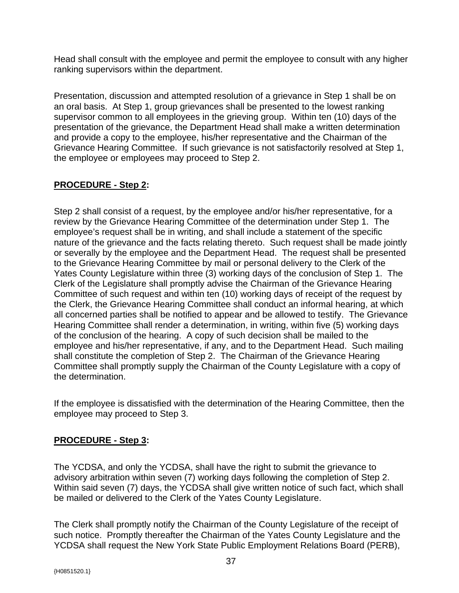Head shall consult with the employee and permit the employee to consult with any higher ranking supervisors within the department.

Presentation, discussion and attempted resolution of a grievance in Step 1 shall be on an oral basis. At Step 1, group grievances shall be presented to the lowest ranking supervisor common to all employees in the grieving group. Within ten (10) days of the presentation of the grievance, the Department Head shall make a written determination and provide a copy to the employee, his/her representative and the Chairman of the Grievance Hearing Committee. If such grievance is not satisfactorily resolved at Step 1, the employee or employees may proceed to Step 2.

#### **PROCEDURE - Step 2:**

Step 2 shall consist of a request, by the employee and/or his/her representative, for a review by the Grievance Hearing Committee of the determination under Step 1. The employee's request shall be in writing, and shall include a statement of the specific nature of the grievance and the facts relating thereto. Such request shall be made jointly or severally by the employee and the Department Head. The request shall be presented to the Grievance Hearing Committee by mail or personal delivery to the Clerk of the Yates County Legislature within three (3) working days of the conclusion of Step 1. The Clerk of the Legislature shall promptly advise the Chairman of the Grievance Hearing Committee of such request and within ten (10) working days of receipt of the request by the Clerk, the Grievance Hearing Committee shall conduct an informal hearing, at which all concerned parties shall be notified to appear and be allowed to testify. The Grievance Hearing Committee shall render a determination, in writing, within five (5) working days of the conclusion of the hearing. A copy of such decision shall be mailed to the employee and his/her representative, if any, and to the Department Head. Such mailing shall constitute the completion of Step 2. The Chairman of the Grievance Hearing Committee shall promptly supply the Chairman of the County Legislature with a copy of the determination.

If the employee is dissatisfied with the determination of the Hearing Committee, then the employee may proceed to Step 3.

#### **PROCEDURE - Step 3:**

The YCDSA, and only the YCDSA, shall have the right to submit the grievance to advisory arbitration within seven (7) working days following the completion of Step 2. Within said seven (7) days, the YCDSA shall give written notice of such fact, which shall be mailed or delivered to the Clerk of the Yates County Legislature.

The Clerk shall promptly notify the Chairman of the County Legislature of the receipt of such notice. Promptly thereafter the Chairman of the Yates County Legislature and the YCDSA shall request the New York State Public Employment Relations Board (PERB),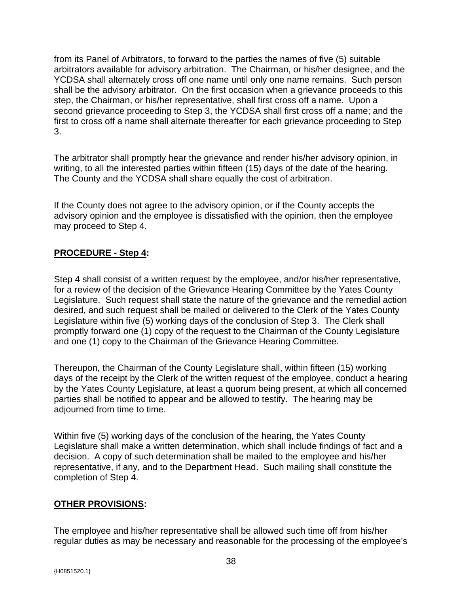from its Panel of Arbitrators, to forward to the parties the names of five (5) suitable arbitrators available for advisory arbitration. The Chairman, or his/her designee, and the YCDSA shall alternately cross off one name until only one name remains. Such person shall be the advisory arbitrator. On the first occasion when a grievance proceeds to this step, the Chairman, or his/her representative, shall first cross off a name. Upon a second grievance proceeding to Step 3, the YCDSA shall first cross off a name; and the first to cross off a name shall alternate thereafter for each grievance proceeding to Step 3.

The arbitrator shall promptly hear the grievance and render his/her advisory opinion, in writing, to all the interested parties within fifteen (15) days of the date of the hearing. The County and the YCDSA shall share equally the cost of arbitration.

If the County does not agree to the advisory opinion, or if the County accepts the advisory opinion and the employee is dissatisfied with the opinion, then the employee may proceed to Step 4.

#### **PROCEDURE - Step 4:**

Step 4 shall consist of a written request by the employee, and/or his/her representative, for a review of the decision of the Grievance Hearing Committee by the Yates County Legislature. Such request shall state the nature of the grievance and the remedial action desired, and such request shall be mailed or delivered to the Clerk of the Yates County Legislature within five (5) working days of the conclusion of Step 3. The Clerk shall promptly forward one (1) copy of the request to the Chairman of the County Legislature and one (1) copy to the Chairman of the Grievance Hearing Committee.

Thereupon, the Chairman of the County Legislature shall, within fifteen (15) working days of the receipt by the Clerk of the written request of the employee, conduct a hearing by the Yates County Legislature, at least a quorum being present, at which all concerned parties shall be notified to appear and be allowed to testify. The hearing may be adjourned from time to time.

Within five (5) working days of the conclusion of the hearing, the Yates County Legislature shall make a written determination, which shall include findings of fact and a decision. A copy of such determination shall be mailed to the employee and his/her representative, if any, and to the Department Head. Such mailing shall constitute the completion of Step 4.

#### **OTHER PROVISIONS:**

The employee and his/her representative shall be allowed such time off from his/her regular duties as may be necessary and reasonable for the processing of the employee's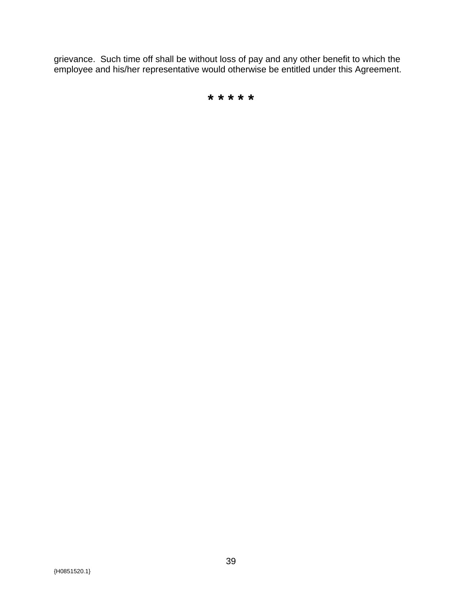grievance. Such time off shall be without loss of pay and any other benefit to which the employee and his/her representative would otherwise be entitled under this Agreement.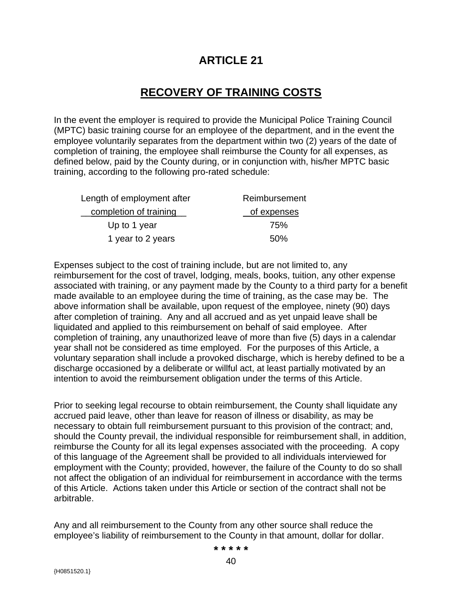## **RECOVERY OF TRAINING COSTS**

In the event the employer is required to provide the Municipal Police Training Council (MPTC) basic training course for an employee of the department, and in the event the employee voluntarily separates from the department within two (2) years of the date of completion of training, the employee shall reimburse the County for all expenses, as defined below, paid by the County during, or in conjunction with, his/her MPTC basic training, according to the following pro-rated schedule:

| Length of employment after | Reimbursement |
|----------------------------|---------------|
| completion of training     | of expenses   |
| Up to 1 year               | 75%           |
| 1 year to 2 years          | .50%          |

Expenses subject to the cost of training include, but are not limited to, any reimbursement for the cost of travel, lodging, meals, books, tuition, any other expense associated with training, or any payment made by the County to a third party for a benefit made available to an employee during the time of training, as the case may be. The above information shall be available, upon request of the employee, ninety (90) days after completion of training. Any and all accrued and as yet unpaid leave shall be liquidated and applied to this reimbursement on behalf of said employee. After completion of training, any unauthorized leave of more than five (5) days in a calendar year shall not be considered as time employed. For the purposes of this Article, a voluntary separation shall include a provoked discharge, which is hereby defined to be a discharge occasioned by a deliberate or willful act, at least partially motivated by an intention to avoid the reimbursement obligation under the terms of this Article.

Prior to seeking legal recourse to obtain reimbursement, the County shall liquidate any accrued paid leave, other than leave for reason of illness or disability, as may be necessary to obtain full reimbursement pursuant to this provision of the contract; and, should the County prevail, the individual responsible for reimbursement shall, in addition, reimburse the County for all its legal expenses associated with the proceeding. A copy of this language of the Agreement shall be provided to all individuals interviewed for employment with the County; provided, however, the failure of the County to do so shall not affect the obligation of an individual for reimbursement in accordance with the terms of this Article. Actions taken under this Article or section of the contract shall not be arbitrable.

Any and all reimbursement to the County from any other source shall reduce the employee's liability of reimbursement to the County in that amount, dollar for dollar.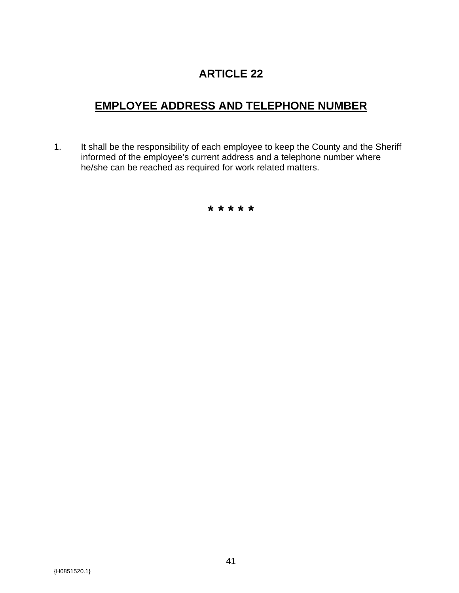#### **EMPLOYEE ADDRESS AND TELEPHONE NUMBER**

1. It shall be the responsibility of each employee to keep the County and the Sheriff informed of the employee's current address and a telephone number where he/she can be reached as required for work related matters.

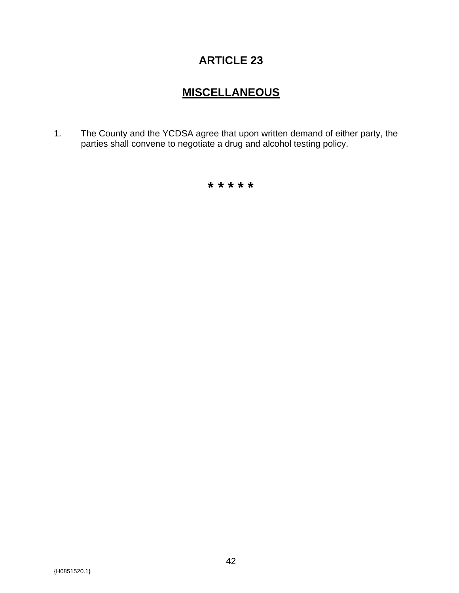## **MISCELLANEOUS**

1. The County and the YCDSA agree that upon written demand of either party, the parties shall convene to negotiate a drug and alcohol testing policy.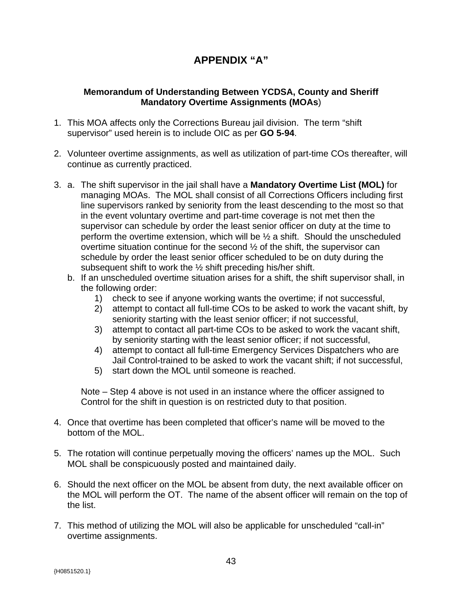#### **APPENDIX "A"**

#### **Memorandum of Understanding Between YCDSA, County and Sheriff Mandatory Overtime Assignments (MOAs**)

- 1. This MOA affects only the Corrections Bureau jail division. The term "shift supervisor" used herein is to include OIC as per **GO 5-94**.
- 2. Volunteer overtime assignments, as well as utilization of part-time COs thereafter, will continue as currently practiced.
- 3. a. The shift supervisor in the jail shall have a **Mandatory Overtime List (MOL)** for managing MOAs. The MOL shall consist of all Corrections Officers including first line supervisors ranked by seniority from the least descending to the most so that in the event voluntary overtime and part-time coverage is not met then the supervisor can schedule by order the least senior officer on duty at the time to perform the overtime extension, which will be  $\frac{1}{2}$  a shift. Should the unscheduled overtime situation continue for the second ½ of the shift, the supervisor can schedule by order the least senior officer scheduled to be on duty during the subsequent shift to work the ½ shift preceding his/her shift.
	- b. If an unscheduled overtime situation arises for a shift, the shift supervisor shall, in the following order:
		- 1) check to see if anyone working wants the overtime; if not successful,
		- 2) attempt to contact all full-time COs to be asked to work the vacant shift, by seniority starting with the least senior officer; if not successful,
		- 3) attempt to contact all part-time COs to be asked to work the vacant shift, by seniority starting with the least senior officer; if not successful,
		- 4) attempt to contact all full-time Emergency Services Dispatchers who are Jail Control-trained to be asked to work the vacant shift; if not successful,
		- 5) start down the MOL until someone is reached.

 Note – Step 4 above is not used in an instance where the officer assigned to Control for the shift in question is on restricted duty to that position.

- 4. Once that overtime has been completed that officer's name will be moved to the bottom of the MOL.
- 5. The rotation will continue perpetually moving the officers' names up the MOL.Such MOL shall be conspicuously posted and maintained daily.
- 6. Should the next officer on the MOL be absent from duty, the next available officer on the MOL will perform the OT. The name of the absent officer will remain on the top of the list.
- 7. This method of utilizing the MOL will also be applicable for unscheduled "call-in" overtime assignments.